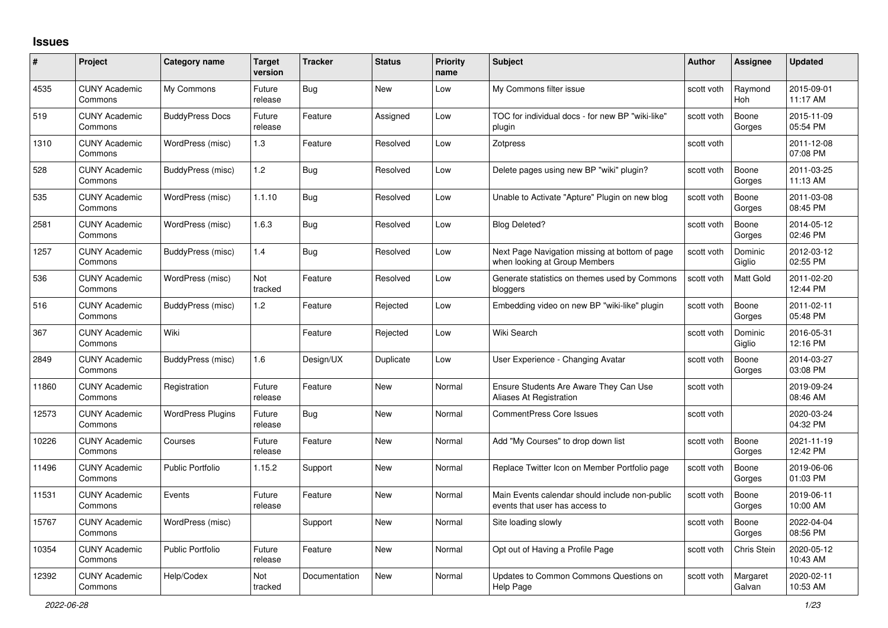## **Issues**

| #     | Project                         | Category name            | Target<br>version | <b>Tracker</b> | <b>Status</b> | <b>Priority</b><br>name | <b>Subject</b>                                                                   | <b>Author</b> | <b>Assignee</b>       | <b>Updated</b>         |
|-------|---------------------------------|--------------------------|-------------------|----------------|---------------|-------------------------|----------------------------------------------------------------------------------|---------------|-----------------------|------------------------|
| 4535  | <b>CUNY Academic</b><br>Commons | My Commons               | Future<br>release | <b>Bug</b>     | <b>New</b>    | Low                     | My Commons filter issue                                                          | scott voth    | Raymond<br><b>Hoh</b> | 2015-09-01<br>11:17 AM |
| 519   | <b>CUNY Academic</b><br>Commons | <b>BuddyPress Docs</b>   | Future<br>release | Feature        | Assigned      | Low                     | TOC for individual docs - for new BP "wiki-like"<br>plugin                       | scott voth    | Boone<br>Gorges       | 2015-11-09<br>05:54 PM |
| 1310  | <b>CUNY Academic</b><br>Commons | WordPress (misc)         | 1.3               | Feature        | Resolved      | Low                     | Zotpress                                                                         | scott voth    |                       | 2011-12-08<br>07:08 PM |
| 528   | <b>CUNY Academic</b><br>Commons | BuddyPress (misc)        | 1.2               | Bug            | Resolved      | Low                     | Delete pages using new BP "wiki" plugin?                                         | scott voth    | Boone<br>Gorges       | 2011-03-25<br>11:13 AM |
| 535   | <b>CUNY Academic</b><br>Commons | WordPress (misc)         | 1.1.10            | <b>Bug</b>     | Resolved      | Low                     | Unable to Activate "Apture" Plugin on new blog                                   | scott voth    | Boone<br>Gorges       | 2011-03-08<br>08:45 PM |
| 2581  | <b>CUNY Academic</b><br>Commons | WordPress (misc)         | 1.6.3             | Bug            | Resolved      | Low                     | <b>Blog Deleted?</b>                                                             | scott voth    | Boone<br>Gorges       | 2014-05-12<br>02:46 PM |
| 1257  | <b>CUNY Academic</b><br>Commons | BuddyPress (misc)        | 1.4               | Bug            | Resolved      | Low                     | Next Page Navigation missing at bottom of page<br>when looking at Group Members  | scott voth    | Dominic<br>Giglio     | 2012-03-12<br>02:55 PM |
| 536   | <b>CUNY Academic</b><br>Commons | WordPress (misc)         | Not<br>tracked    | Feature        | Resolved      | Low                     | Generate statistics on themes used by Commons<br>bloggers                        | scott voth    | Matt Gold             | 2011-02-20<br>12:44 PM |
| 516   | <b>CUNY Academic</b><br>Commons | BuddyPress (misc)        | 1.2               | Feature        | Rejected      | Low                     | Embedding video on new BP "wiki-like" plugin                                     | scott voth    | Boone<br>Gorges       | 2011-02-11<br>05:48 PM |
| 367   | <b>CUNY Academic</b><br>Commons | Wiki                     |                   | Feature        | Rejected      | Low                     | Wiki Search                                                                      | scott voth    | Dominic<br>Giglio     | 2016-05-31<br>12:16 PM |
| 2849  | <b>CUNY Academic</b><br>Commons | BuddyPress (misc)        | 1.6               | Design/UX      | Duplicate     | Low                     | User Experience - Changing Avatar                                                | scott voth    | Boone<br>Gorges       | 2014-03-27<br>03:08 PM |
| 11860 | <b>CUNY Academic</b><br>Commons | Registration             | Future<br>release | Feature        | New           | Normal                  | Ensure Students Are Aware They Can Use<br>Aliases At Registration                | scott voth    |                       | 2019-09-24<br>08:46 AM |
| 12573 | <b>CUNY Academic</b><br>Commons | <b>WordPress Plugins</b> | Future<br>release | <b>Bug</b>     | <b>New</b>    | Normal                  | <b>CommentPress Core Issues</b>                                                  | scott voth    |                       | 2020-03-24<br>04:32 PM |
| 10226 | <b>CUNY Academic</b><br>Commons | Courses                  | Future<br>release | Feature        | New           | Normal                  | Add "My Courses" to drop down list                                               | scott voth    | Boone<br>Gorges       | 2021-11-19<br>12:42 PM |
| 11496 | <b>CUNY Academic</b><br>Commons | <b>Public Portfolio</b>  | 1.15.2            | Support        | <b>New</b>    | Normal                  | Replace Twitter Icon on Member Portfolio page                                    | scott voth    | Boone<br>Gorges       | 2019-06-06<br>01:03 PM |
| 11531 | <b>CUNY Academic</b><br>Commons | Events                   | Future<br>release | Feature        | <b>New</b>    | Normal                  | Main Events calendar should include non-public<br>events that user has access to | scott voth    | Boone<br>Gorges       | 2019-06-11<br>10:00 AM |
| 15767 | <b>CUNY Academic</b><br>Commons | WordPress (misc)         |                   | Support        | <b>New</b>    | Normal                  | Site loading slowly                                                              | scott voth    | Boone<br>Gorges       | 2022-04-04<br>08:56 PM |
| 10354 | <b>CUNY Academic</b><br>Commons | <b>Public Portfolio</b>  | Future<br>release | Feature        | <b>New</b>    | Normal                  | Opt out of Having a Profile Page                                                 | scott voth    | Chris Stein           | 2020-05-12<br>10:43 AM |
| 12392 | <b>CUNY Academic</b><br>Commons | Help/Codex               | Not<br>tracked    | Documentation  | <b>New</b>    | Normal                  | Updates to Common Commons Questions on<br>Help Page                              | scott voth    | Margaret<br>Galvan    | 2020-02-11<br>10:53 AM |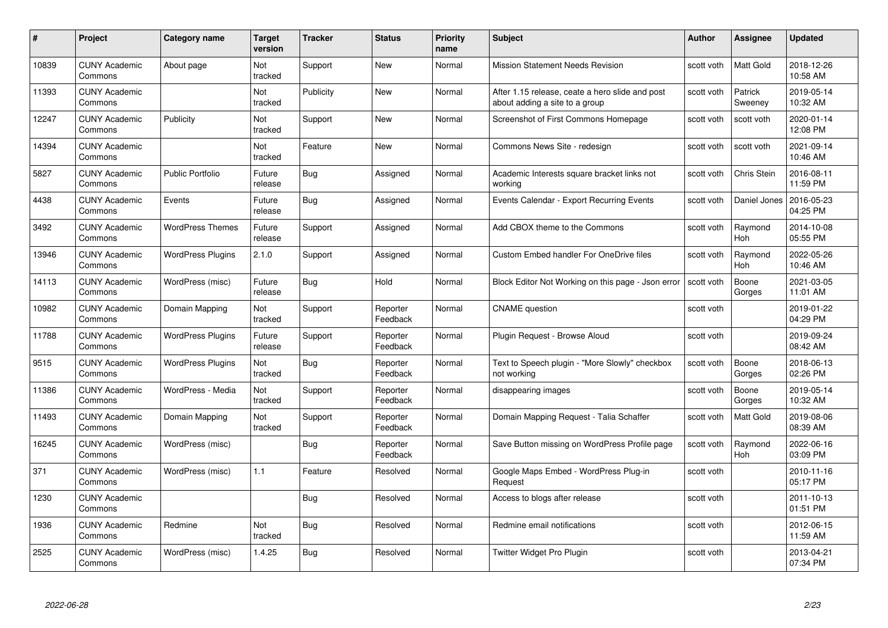| #     | Project                         | <b>Category name</b>     | Target<br>version     | <b>Tracker</b> | <b>Status</b>        | <b>Priority</b><br>name | <b>Subject</b>                                                                    | Author     | <b>Assignee</b>    | <b>Updated</b>         |
|-------|---------------------------------|--------------------------|-----------------------|----------------|----------------------|-------------------------|-----------------------------------------------------------------------------------|------------|--------------------|------------------------|
| 10839 | <b>CUNY Academic</b><br>Commons | About page               | Not<br>tracked        | Support        | <b>New</b>           | Normal                  | <b>Mission Statement Needs Revision</b>                                           | scott voth | Matt Gold          | 2018-12-26<br>10:58 AM |
| 11393 | <b>CUNY Academic</b><br>Commons |                          | Not<br>tracked        | Publicity      | <b>New</b>           | Normal                  | After 1.15 release, ceate a hero slide and post<br>about adding a site to a group | scott voth | Patrick<br>Sweeney | 2019-05-14<br>10:32 AM |
| 12247 | <b>CUNY Academic</b><br>Commons | Publicity                | Not<br>tracked        | Support        | <b>New</b>           | Normal                  | Screenshot of First Commons Homepage                                              | scott voth | scott voth         | 2020-01-14<br>12:08 PM |
| 14394 | <b>CUNY Academic</b><br>Commons |                          | <b>Not</b><br>tracked | Feature        | <b>New</b>           | Normal                  | Commons News Site - redesign                                                      | scott voth | scott voth         | 2021-09-14<br>10:46 AM |
| 5827  | <b>CUNY Academic</b><br>Commons | <b>Public Portfolio</b>  | Future<br>release     | Bug            | Assigned             | Normal                  | Academic Interests square bracket links not<br>workina                            | scott voth | Chris Stein        | 2016-08-11<br>11:59 PM |
| 4438  | <b>CUNY Academic</b><br>Commons | Events                   | Future<br>release     | <b>Bug</b>     | Assigned             | Normal                  | Events Calendar - Export Recurring Events                                         | scott voth | Daniel Jones       | 2016-05-23<br>04:25 PM |
| 3492  | <b>CUNY Academic</b><br>Commons | <b>WordPress Themes</b>  | Future<br>release     | Support        | Assigned             | Normal                  | Add CBOX theme to the Commons                                                     | scott voth | Raymond<br>Hoh     | 2014-10-08<br>05:55 PM |
| 13946 | <b>CUNY Academic</b><br>Commons | <b>WordPress Plugins</b> | 2.1.0                 | Support        | Assigned             | Normal                  | <b>Custom Embed handler For OneDrive files</b>                                    | scott voth | Raymond<br>Hoh     | 2022-05-26<br>10:46 AM |
| 14113 | <b>CUNY Academic</b><br>Commons | WordPress (misc)         | Future<br>release     | <b>Bug</b>     | Hold                 | Normal                  | Block Editor Not Working on this page - Json error                                | scott voth | Boone<br>Gorges    | 2021-03-05<br>11:01 AM |
| 10982 | <b>CUNY Academic</b><br>Commons | Domain Mapping           | Not<br>tracked        | Support        | Reporter<br>Feedback | Normal                  | <b>CNAME</b> question                                                             | scott voth |                    | 2019-01-22<br>04:29 PM |
| 11788 | <b>CUNY Academic</b><br>Commons | <b>WordPress Plugins</b> | Future<br>release     | Support        | Reporter<br>Feedback | Normal                  | Plugin Request - Browse Aloud                                                     | scott voth |                    | 2019-09-24<br>08:42 AM |
| 9515  | <b>CUNY Academic</b><br>Commons | <b>WordPress Plugins</b> | Not<br>tracked        | Bug            | Reporter<br>Feedback | Normal                  | Text to Speech plugin - "More Slowly" checkbox<br>not working                     | scott voth | Boone<br>Gorges    | 2018-06-13<br>02:26 PM |
| 11386 | <b>CUNY Academic</b><br>Commons | WordPress - Media        | Not<br>tracked        | Support        | Reporter<br>Feedback | Normal                  | disappearing images                                                               | scott voth | Boone<br>Gorges    | 2019-05-14<br>10:32 AM |
| 11493 | <b>CUNY Academic</b><br>Commons | Domain Mapping           | Not<br>tracked        | Support        | Reporter<br>Feedback | Normal                  | Domain Mapping Request - Talia Schaffer                                           | scott voth | <b>Matt Gold</b>   | 2019-08-06<br>08:39 AM |
| 16245 | <b>CUNY Academic</b><br>Commons | WordPress (misc)         |                       | Bug            | Reporter<br>Feedback | Normal                  | Save Button missing on WordPress Profile page                                     | scott voth | Raymond<br>Hoh     | 2022-06-16<br>03:09 PM |
| 371   | <b>CUNY Academic</b><br>Commons | WordPress (misc)         | 1.1                   | Feature        | Resolved             | Normal                  | Google Maps Embed - WordPress Plug-in<br>Request                                  | scott voth |                    | 2010-11-16<br>05:17 PM |
| 1230  | <b>CUNY Academic</b><br>Commons |                          |                       | Bug            | Resolved             | Normal                  | Access to blogs after release                                                     | scott voth |                    | 2011-10-13<br>01:51 PM |
| 1936  | <b>CUNY Academic</b><br>Commons | Redmine                  | Not<br>tracked        | Bug            | Resolved             | Normal                  | Redmine email notifications                                                       | scott voth |                    | 2012-06-15<br>11:59 AM |
| 2525  | CUNY Academic<br>Commons        | WordPress (misc)         | 1.4.25                | Bug            | Resolved             | Normal                  | Twitter Widget Pro Plugin                                                         | scott voth |                    | 2013-04-21<br>07:34 PM |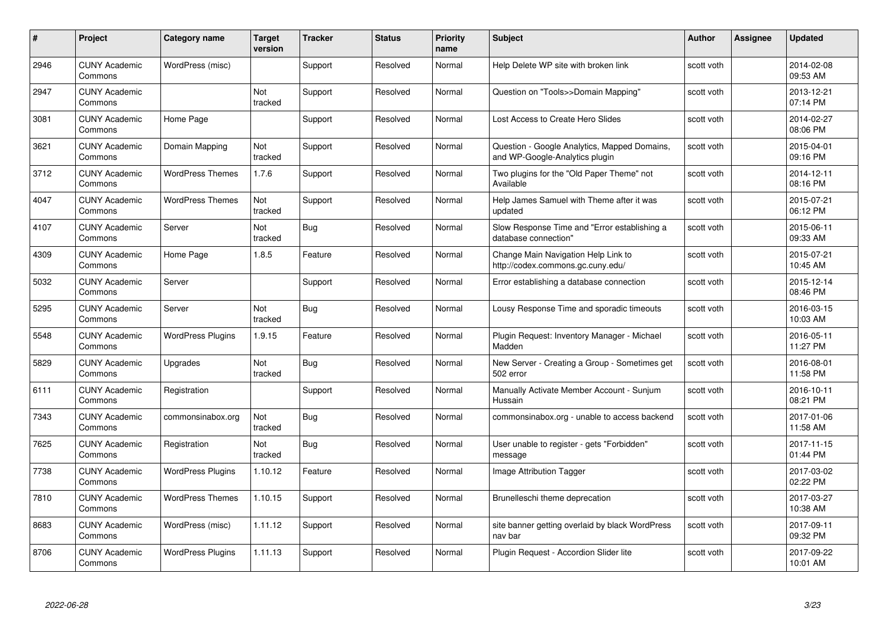| #    | Project                         | <b>Category name</b>     | <b>Target</b><br>version | <b>Tracker</b> | <b>Status</b> | <b>Priority</b><br>name | <b>Subject</b>                                                                 | <b>Author</b> | Assignee | <b>Updated</b>         |
|------|---------------------------------|--------------------------|--------------------------|----------------|---------------|-------------------------|--------------------------------------------------------------------------------|---------------|----------|------------------------|
| 2946 | <b>CUNY Academic</b><br>Commons | WordPress (misc)         |                          | Support        | Resolved      | Normal                  | Help Delete WP site with broken link                                           | scott voth    |          | 2014-02-08<br>09:53 AM |
| 2947 | <b>CUNY Academic</b><br>Commons |                          | Not<br>tracked           | Support        | Resolved      | Normal                  | Question on "Tools>>Domain Mapping"                                            | scott voth    |          | 2013-12-21<br>07:14 PM |
| 3081 | <b>CUNY Academic</b><br>Commons | Home Page                |                          | Support        | Resolved      | Normal                  | Lost Access to Create Hero Slides                                              | scott voth    |          | 2014-02-27<br>08:06 PM |
| 3621 | <b>CUNY Academic</b><br>Commons | Domain Mapping           | Not<br>tracked           | Support        | Resolved      | Normal                  | Question - Google Analytics, Mapped Domains,<br>and WP-Google-Analytics plugin | scott voth    |          | 2015-04-01<br>09:16 PM |
| 3712 | <b>CUNY Academic</b><br>Commons | <b>WordPress Themes</b>  | 1.7.6                    | Support        | Resolved      | Normal                  | Two plugins for the "Old Paper Theme" not<br>Available                         | scott voth    |          | 2014-12-11<br>08:16 PM |
| 4047 | <b>CUNY Academic</b><br>Commons | <b>WordPress Themes</b>  | Not<br>tracked           | Support        | Resolved      | Normal                  | Help James Samuel with Theme after it was<br>updated                           | scott voth    |          | 2015-07-21<br>06:12 PM |
| 4107 | <b>CUNY Academic</b><br>Commons | Server                   | Not<br>tracked           | <b>Bug</b>     | Resolved      | Normal                  | Slow Response Time and "Error establishing a<br>database connection"           | scott voth    |          | 2015-06-11<br>09:33 AM |
| 4309 | <b>CUNY Academic</b><br>Commons | Home Page                | 1.8.5                    | Feature        | Resolved      | Normal                  | Change Main Navigation Help Link to<br>http://codex.commons.gc.cuny.edu/       | scott voth    |          | 2015-07-21<br>10:45 AM |
| 5032 | <b>CUNY Academic</b><br>Commons | Server                   |                          | Support        | Resolved      | Normal                  | Error establishing a database connection                                       | scott voth    |          | 2015-12-14<br>08:46 PM |
| 5295 | <b>CUNY Academic</b><br>Commons | Server                   | Not<br>tracked           | Bug            | Resolved      | Normal                  | Lousy Response Time and sporadic timeouts                                      | scott voth    |          | 2016-03-15<br>10:03 AM |
| 5548 | CUNY Academic<br>Commons        | <b>WordPress Plugins</b> | 1.9.15                   | Feature        | Resolved      | Normal                  | Plugin Request: Inventory Manager - Michael<br>Madden                          | scott voth    |          | 2016-05-11<br>11:27 PM |
| 5829 | <b>CUNY Academic</b><br>Commons | Upgrades                 | Not<br>tracked           | Bug            | Resolved      | Normal                  | New Server - Creating a Group - Sometimes get<br>502 error                     | scott voth    |          | 2016-08-01<br>11:58 PM |
| 6111 | <b>CUNY Academic</b><br>Commons | Registration             |                          | Support        | Resolved      | Normal                  | Manually Activate Member Account - Sunjum<br>Hussain                           | scott voth    |          | 2016-10-11<br>08:21 PM |
| 7343 | <b>CUNY Academic</b><br>Commons | commonsinabox.org        | Not<br>tracked           | <b>Bug</b>     | Resolved      | Normal                  | commonsinabox.org - unable to access backend                                   | scott voth    |          | 2017-01-06<br>11:58 AM |
| 7625 | <b>CUNY Academic</b><br>Commons | Registration             | Not<br>tracked           | Bug            | Resolved      | Normal                  | User unable to register - gets "Forbidden"<br>message                          | scott voth    |          | 2017-11-15<br>01:44 PM |
| 7738 | <b>CUNY Academic</b><br>Commons | <b>WordPress Plugins</b> | 1.10.12                  | Feature        | Resolved      | Normal                  | Image Attribution Tagger                                                       | scott voth    |          | 2017-03-02<br>02:22 PM |
| 7810 | <b>CUNY Academic</b><br>Commons | <b>WordPress Themes</b>  | 1.10.15                  | Support        | Resolved      | Normal                  | Brunelleschi theme deprecation                                                 | scott voth    |          | 2017-03-27<br>10:38 AM |
| 8683 | <b>CUNY Academic</b><br>Commons | WordPress (misc)         | 1.11.12                  | Support        | Resolved      | Normal                  | site banner getting overlaid by black WordPress<br>nav bar                     | scott voth    |          | 2017-09-11<br>09:32 PM |
| 8706 | <b>CUNY Academic</b><br>Commons | <b>WordPress Plugins</b> | 1.11.13                  | Support        | Resolved      | Normal                  | Plugin Reguest - Accordion Slider lite                                         | scott voth    |          | 2017-09-22<br>10:01 AM |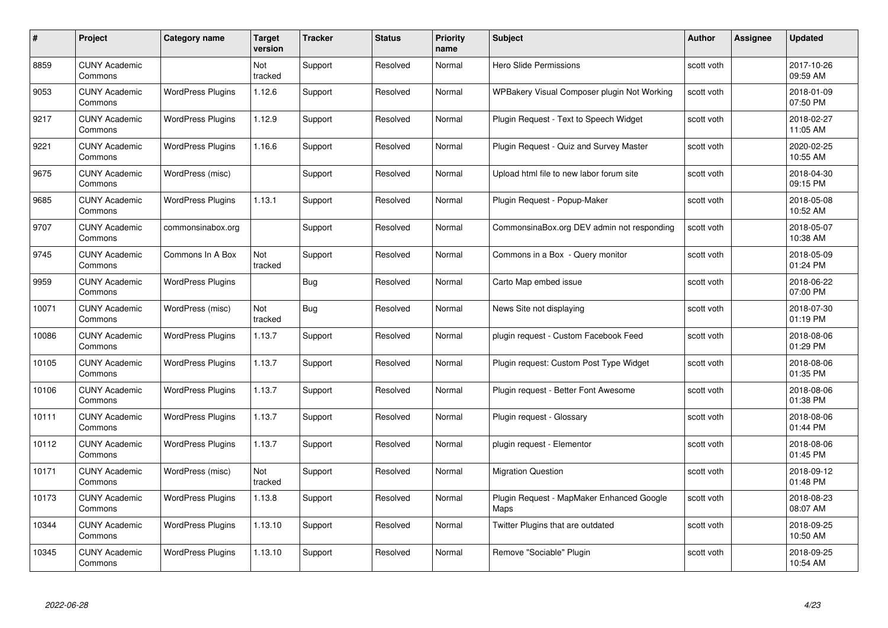| #     | Project                         | Category name            | <b>Target</b><br>version | <b>Tracker</b> | <b>Status</b> | <b>Priority</b><br>name | <b>Subject</b>                                    | <b>Author</b> | <b>Assignee</b> | <b>Updated</b>         |
|-------|---------------------------------|--------------------------|--------------------------|----------------|---------------|-------------------------|---------------------------------------------------|---------------|-----------------|------------------------|
| 8859  | <b>CUNY Academic</b><br>Commons |                          | Not<br>tracked           | Support        | Resolved      | Normal                  | <b>Hero Slide Permissions</b>                     | scott voth    |                 | 2017-10-26<br>09:59 AM |
| 9053  | <b>CUNY Academic</b><br>Commons | <b>WordPress Plugins</b> | 1.12.6                   | Support        | Resolved      | Normal                  | WPBakery Visual Composer plugin Not Working       | scott voth    |                 | 2018-01-09<br>07:50 PM |
| 9217  | <b>CUNY Academic</b><br>Commons | <b>WordPress Plugins</b> | 1.12.9                   | Support        | Resolved      | Normal                  | Plugin Request - Text to Speech Widget            | scott voth    |                 | 2018-02-27<br>11:05 AM |
| 9221  | <b>CUNY Academic</b><br>Commons | <b>WordPress Plugins</b> | 1.16.6                   | Support        | Resolved      | Normal                  | Plugin Request - Quiz and Survey Master           | scott voth    |                 | 2020-02-25<br>10:55 AM |
| 9675  | <b>CUNY Academic</b><br>Commons | WordPress (misc)         |                          | Support        | Resolved      | Normal                  | Upload html file to new labor forum site          | scott voth    |                 | 2018-04-30<br>09:15 PM |
| 9685  | <b>CUNY Academic</b><br>Commons | <b>WordPress Plugins</b> | 1.13.1                   | Support        | Resolved      | Normal                  | Plugin Request - Popup-Maker                      | scott voth    |                 | 2018-05-08<br>10:52 AM |
| 9707  | <b>CUNY Academic</b><br>Commons | commonsinabox.org        |                          | Support        | Resolved      | Normal                  | CommonsinaBox.org DEV admin not responding        | scott voth    |                 | 2018-05-07<br>10:38 AM |
| 9745  | <b>CUNY Academic</b><br>Commons | Commons In A Box         | Not<br>tracked           | Support        | Resolved      | Normal                  | Commons in a Box - Query monitor                  | scott voth    |                 | 2018-05-09<br>01:24 PM |
| 9959  | <b>CUNY Academic</b><br>Commons | <b>WordPress Plugins</b> |                          | Bug            | Resolved      | Normal                  | Carto Map embed issue                             | scott voth    |                 | 2018-06-22<br>07:00 PM |
| 10071 | <b>CUNY Academic</b><br>Commons | WordPress (misc)         | Not<br>tracked           | Bug            | Resolved      | Normal                  | News Site not displaying                          | scott voth    |                 | 2018-07-30<br>01:19 PM |
| 10086 | <b>CUNY Academic</b><br>Commons | <b>WordPress Plugins</b> | 1.13.7                   | Support        | Resolved      | Normal                  | plugin request - Custom Facebook Feed             | scott voth    |                 | 2018-08-06<br>01:29 PM |
| 10105 | <b>CUNY Academic</b><br>Commons | <b>WordPress Plugins</b> | 1.13.7                   | Support        | Resolved      | Normal                  | Plugin request: Custom Post Type Widget           | scott voth    |                 | 2018-08-06<br>01:35 PM |
| 10106 | <b>CUNY Academic</b><br>Commons | <b>WordPress Plugins</b> | 1.13.7                   | Support        | Resolved      | Normal                  | Plugin request - Better Font Awesome              | scott voth    |                 | 2018-08-06<br>01:38 PM |
| 10111 | <b>CUNY Academic</b><br>Commons | <b>WordPress Plugins</b> | 1.13.7                   | Support        | Resolved      | Normal                  | Plugin request - Glossary                         | scott voth    |                 | 2018-08-06<br>01:44 PM |
| 10112 | <b>CUNY Academic</b><br>Commons | <b>WordPress Plugins</b> | 1.13.7                   | Support        | Resolved      | Normal                  | plugin request - Elementor                        | scott voth    |                 | 2018-08-06<br>01:45 PM |
| 10171 | <b>CUNY Academic</b><br>Commons | WordPress (misc)         | Not<br>tracked           | Support        | Resolved      | Normal                  | <b>Migration Question</b>                         | scott voth    |                 | 2018-09-12<br>01:48 PM |
| 10173 | <b>CUNY Academic</b><br>Commons | <b>WordPress Plugins</b> | 1.13.8                   | Support        | Resolved      | Normal                  | Plugin Request - MapMaker Enhanced Google<br>Maps | scott voth    |                 | 2018-08-23<br>08:07 AM |
| 10344 | <b>CUNY Academic</b><br>Commons | <b>WordPress Plugins</b> | 1.13.10                  | Support        | Resolved      | Normal                  | Twitter Plugins that are outdated                 | scott voth    |                 | 2018-09-25<br>10:50 AM |
| 10345 | CUNY Academic<br>Commons        | <b>WordPress Plugins</b> | 1.13.10                  | Support        | Resolved      | Normal                  | Remove "Sociable" Plugin                          | scott voth    |                 | 2018-09-25<br>10:54 AM |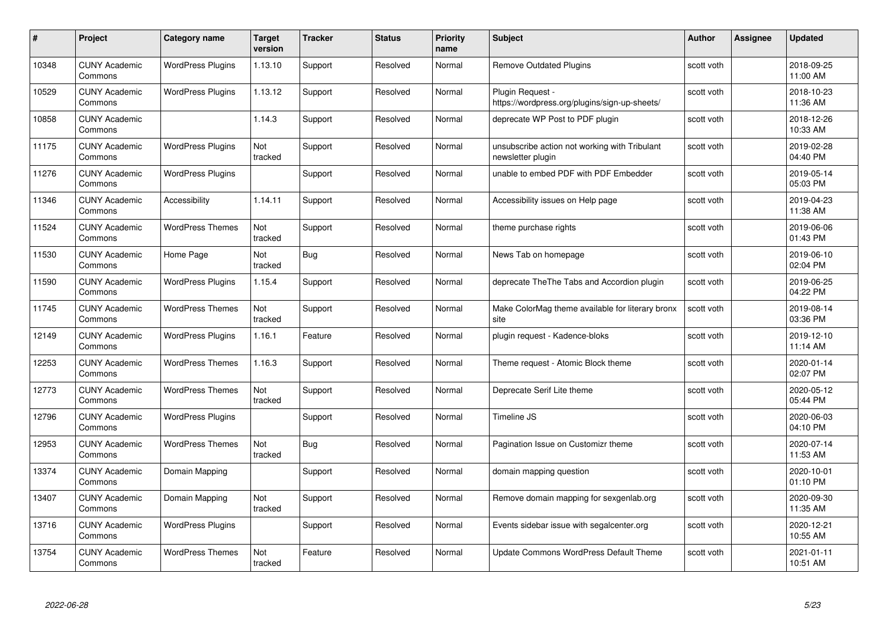| #     | Project                         | <b>Category name</b>     | Target<br>version | <b>Tracker</b> | <b>Status</b> | <b>Priority</b><br>name | <b>Subject</b>                                                     | <b>Author</b> | <b>Assignee</b> | <b>Updated</b>         |
|-------|---------------------------------|--------------------------|-------------------|----------------|---------------|-------------------------|--------------------------------------------------------------------|---------------|-----------------|------------------------|
| 10348 | <b>CUNY Academic</b><br>Commons | <b>WordPress Plugins</b> | 1.13.10           | Support        | Resolved      | Normal                  | <b>Remove Outdated Plugins</b>                                     | scott voth    |                 | 2018-09-25<br>11:00 AM |
| 10529 | <b>CUNY Academic</b><br>Commons | <b>WordPress Plugins</b> | 1.13.12           | Support        | Resolved      | Normal                  | Plugin Request -<br>https://wordpress.org/plugins/sign-up-sheets/  | scott voth    |                 | 2018-10-23<br>11:36 AM |
| 10858 | <b>CUNY Academic</b><br>Commons |                          | 1.14.3            | Support        | Resolved      | Normal                  | deprecate WP Post to PDF plugin                                    | scott voth    |                 | 2018-12-26<br>10:33 AM |
| 11175 | <b>CUNY Academic</b><br>Commons | <b>WordPress Plugins</b> | Not<br>tracked    | Support        | Resolved      | Normal                  | unsubscribe action not working with Tribulant<br>newsletter plugin | scott voth    |                 | 2019-02-28<br>04:40 PM |
| 11276 | <b>CUNY Academic</b><br>Commons | <b>WordPress Plugins</b> |                   | Support        | Resolved      | Normal                  | unable to embed PDF with PDF Embedder                              | scott voth    |                 | 2019-05-14<br>05:03 PM |
| 11346 | <b>CUNY Academic</b><br>Commons | Accessibility            | 1.14.11           | Support        | Resolved      | Normal                  | Accessibility issues on Help page                                  | scott voth    |                 | 2019-04-23<br>11:38 AM |
| 11524 | <b>CUNY Academic</b><br>Commons | <b>WordPress Themes</b>  | Not<br>tracked    | Support        | Resolved      | Normal                  | theme purchase rights                                              | scott voth    |                 | 2019-06-06<br>01:43 PM |
| 11530 | <b>CUNY Academic</b><br>Commons | Home Page                | Not<br>tracked    | <b>Bug</b>     | Resolved      | Normal                  | News Tab on homepage                                               | scott voth    |                 | 2019-06-10<br>02:04 PM |
| 11590 | <b>CUNY Academic</b><br>Commons | <b>WordPress Plugins</b> | 1.15.4            | Support        | Resolved      | Normal                  | deprecate The The Tabs and Accordion plugin                        | scott voth    |                 | 2019-06-25<br>04:22 PM |
| 11745 | <b>CUNY Academic</b><br>Commons | <b>WordPress Themes</b>  | Not<br>tracked    | Support        | Resolved      | Normal                  | Make ColorMag theme available for literary bronx<br>site           | scott voth    |                 | 2019-08-14<br>03:36 PM |
| 12149 | CUNY Academic<br>Commons        | <b>WordPress Plugins</b> | 1.16.1            | Feature        | Resolved      | Normal                  | plugin request - Kadence-bloks                                     | scott voth    |                 | 2019-12-10<br>11:14 AM |
| 12253 | <b>CUNY Academic</b><br>Commons | <b>WordPress Themes</b>  | 1.16.3            | Support        | Resolved      | Normal                  | Theme request - Atomic Block theme                                 | scott voth    |                 | 2020-01-14<br>02:07 PM |
| 12773 | <b>CUNY Academic</b><br>Commons | <b>WordPress Themes</b>  | Not<br>tracked    | Support        | Resolved      | Normal                  | Deprecate Serif Lite theme                                         | scott voth    |                 | 2020-05-12<br>05:44 PM |
| 12796 | <b>CUNY Academic</b><br>Commons | <b>WordPress Plugins</b> |                   | Support        | Resolved      | Normal                  | Timeline JS                                                        | scott voth    |                 | 2020-06-03<br>04:10 PM |
| 12953 | <b>CUNY Academic</b><br>Commons | <b>WordPress Themes</b>  | Not<br>tracked    | Bug            | Resolved      | Normal                  | Pagination Issue on Customizr theme                                | scott voth    |                 | 2020-07-14<br>11:53 AM |
| 13374 | <b>CUNY Academic</b><br>Commons | Domain Mapping           |                   | Support        | Resolved      | Normal                  | domain mapping question                                            | scott voth    |                 | 2020-10-01<br>01:10 PM |
| 13407 | <b>CUNY Academic</b><br>Commons | Domain Mapping           | Not<br>tracked    | Support        | Resolved      | Normal                  | Remove domain mapping for sexgenlab.org                            | scott voth    |                 | 2020-09-30<br>11:35 AM |
| 13716 | <b>CUNY Academic</b><br>Commons | <b>WordPress Plugins</b> |                   | Support        | Resolved      | Normal                  | Events sidebar issue with segalcenter.org                          | scott voth    |                 | 2020-12-21<br>10:55 AM |
| 13754 | CUNY Academic<br>Commons        | <b>WordPress Themes</b>  | Not<br>tracked    | Feature        | Resolved      | Normal                  | Update Commons WordPress Default Theme                             | scott voth    |                 | 2021-01-11<br>10:51 AM |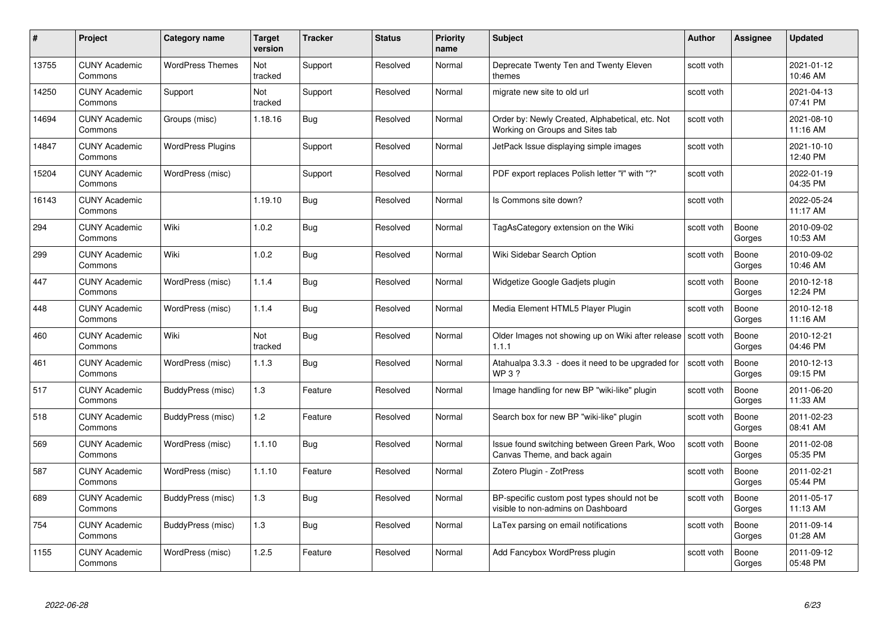| #     | Project                         | <b>Category name</b>     | Target<br>version | <b>Tracker</b> | <b>Status</b> | <b>Priority</b><br>name | <b>Subject</b>                                                                     | <b>Author</b> | <b>Assignee</b> | <b>Updated</b>         |
|-------|---------------------------------|--------------------------|-------------------|----------------|---------------|-------------------------|------------------------------------------------------------------------------------|---------------|-----------------|------------------------|
| 13755 | <b>CUNY Academic</b><br>Commons | <b>WordPress Themes</b>  | Not<br>tracked    | Support        | Resolved      | Normal                  | Deprecate Twenty Ten and Twenty Eleven<br>themes                                   | scott voth    |                 | 2021-01-12<br>10:46 AM |
| 14250 | <b>CUNY Academic</b><br>Commons | Support                  | Not<br>tracked    | Support        | Resolved      | Normal                  | migrate new site to old url                                                        | scott voth    |                 | 2021-04-13<br>07:41 PM |
| 14694 | <b>CUNY Academic</b><br>Commons | Groups (misc)            | 1.18.16           | Bug            | Resolved      | Normal                  | Order by: Newly Created, Alphabetical, etc. Not<br>Working on Groups and Sites tab | scott voth    |                 | 2021-08-10<br>11:16 AM |
| 14847 | <b>CUNY Academic</b><br>Commons | <b>WordPress Plugins</b> |                   | Support        | Resolved      | Normal                  | JetPack Issue displaying simple images                                             | scott voth    |                 | 2021-10-10<br>12:40 PM |
| 15204 | <b>CUNY Academic</b><br>Commons | WordPress (misc)         |                   | Support        | Resolved      | Normal                  | PDF export replaces Polish letter "I" with "?"                                     | scott voth    |                 | 2022-01-19<br>04:35 PM |
| 16143 | <b>CUNY Academic</b><br>Commons |                          | 1.19.10           | <b>Bug</b>     | Resolved      | Normal                  | Is Commons site down?                                                              | scott voth    |                 | 2022-05-24<br>11:17 AM |
| 294   | <b>CUNY Academic</b><br>Commons | Wiki                     | 1.0.2             | Bug            | Resolved      | Normal                  | TagAsCategory extension on the Wiki                                                | scott voth    | Boone<br>Gorges | 2010-09-02<br>10:53 AM |
| 299   | <b>CUNY Academic</b><br>Commons | Wiki                     | 1.0.2             | Bug            | Resolved      | Normal                  | Wiki Sidebar Search Option                                                         | scott voth    | Boone<br>Gorges | 2010-09-02<br>10:46 AM |
| 447   | <b>CUNY Academic</b><br>Commons | WordPress (misc)         | 1.1.4             | Bug            | Resolved      | Normal                  | Widgetize Google Gadjets plugin                                                    | scott voth    | Boone<br>Gorges | 2010-12-18<br>12:24 PM |
| 448   | <b>CUNY Academic</b><br>Commons | WordPress (misc)         | 1.1.4             | Bug            | Resolved      | Normal                  | Media Element HTML5 Player Plugin                                                  | scott voth    | Boone<br>Gorges | 2010-12-18<br>11:16 AM |
| 460   | <b>CUNY Academic</b><br>Commons | Wiki                     | Not<br>tracked    | Bug            | Resolved      | Normal                  | Older Images not showing up on Wiki after release   scott voth<br>1.1.1            |               | Boone<br>Gorges | 2010-12-21<br>04:46 PM |
| 461   | <b>CUNY Academic</b><br>Commons | WordPress (misc)         | 1.1.3             | Bug            | Resolved      | Normal                  | Atahualpa 3.3.3 - does it need to be upgraded for<br>WP 3 ?                        | scott voth    | Boone<br>Gorges | 2010-12-13<br>09:15 PM |
| 517   | <b>CUNY Academic</b><br>Commons | BuddyPress (misc)        | 1.3               | Feature        | Resolved      | Normal                  | Image handling for new BP "wiki-like" plugin                                       | scott voth    | Boone<br>Gorges | 2011-06-20<br>11:33 AM |
| 518   | <b>CUNY Academic</b><br>Commons | BuddyPress (misc)        | 1.2               | Feature        | Resolved      | Normal                  | Search box for new BP "wiki-like" plugin                                           | scott voth    | Boone<br>Gorges | 2011-02-23<br>08:41 AM |
| 569   | CUNY Academic<br>Commons        | WordPress (misc)         | 1.1.10            | Bug            | Resolved      | Normal                  | Issue found switching between Green Park, Woo<br>Canvas Theme, and back again      | scott voth    | Boone<br>Gorges | 2011-02-08<br>05:35 PM |
| 587   | <b>CUNY Academic</b><br>Commons | WordPress (misc)         | 1.1.10            | Feature        | Resolved      | Normal                  | Zotero Plugin - ZotPress                                                           | scott voth    | Boone<br>Gorges | 2011-02-21<br>05:44 PM |
| 689   | <b>CUNY Academic</b><br>Commons | BuddyPress (misc)        | $1.3$             | Bug            | Resolved      | Normal                  | BP-specific custom post types should not be<br>visible to non-admins on Dashboard  | scott voth    | Boone<br>Gorges | 2011-05-17<br>11:13 AM |
| 754   | <b>CUNY Academic</b><br>Commons | BuddyPress (misc)        | $1.3$             | Bug            | Resolved      | Normal                  | LaTex parsing on email notifications                                               | scott voth    | Boone<br>Gorges | 2011-09-14<br>01:28 AM |
| 1155  | CUNY Academic<br>Commons        | WordPress (misc)         | 1.2.5             | Feature        | Resolved      | Normal                  | Add Fancybox WordPress plugin                                                      | scott voth    | Boone<br>Gorges | 2011-09-12<br>05:48 PM |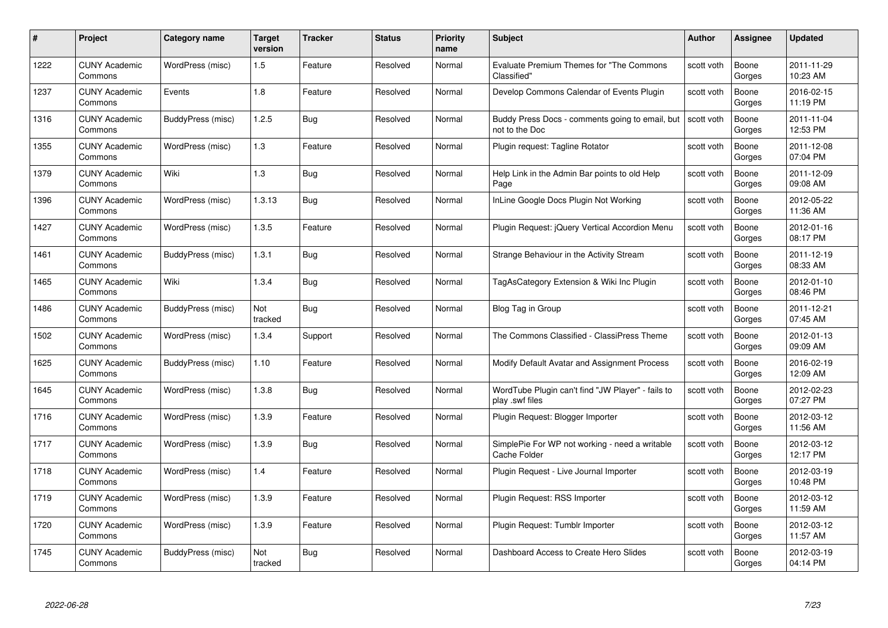| #    | Project                         | <b>Category name</b> | Target<br>version | <b>Tracker</b> | <b>Status</b> | <b>Priority</b><br>name | <b>Subject</b>                                                       | <b>Author</b> | <b>Assignee</b> | <b>Updated</b>         |
|------|---------------------------------|----------------------|-------------------|----------------|---------------|-------------------------|----------------------------------------------------------------------|---------------|-----------------|------------------------|
| 1222 | <b>CUNY Academic</b><br>Commons | WordPress (misc)     | 1.5               | Feature        | Resolved      | Normal                  | <b>Evaluate Premium Themes for "The Commons</b><br>Classified"       | scott voth    | Boone<br>Gorges | 2011-11-29<br>10:23 AM |
| 1237 | <b>CUNY Academic</b><br>Commons | Events               | 1.8               | Feature        | Resolved      | Normal                  | Develop Commons Calendar of Events Plugin                            | scott voth    | Boone<br>Gorges | 2016-02-15<br>11:19 PM |
| 1316 | <b>CUNY Academic</b><br>Commons | BuddyPress (misc)    | 1.2.5             | Bug            | Resolved      | Normal                  | Buddy Press Docs - comments going to email, but<br>not to the Doc    | scott voth    | Boone<br>Gorges | 2011-11-04<br>12:53 PM |
| 1355 | <b>CUNY Academic</b><br>Commons | WordPress (misc)     | 1.3               | Feature        | Resolved      | Normal                  | Plugin request: Tagline Rotator                                      | scott voth    | Boone<br>Gorges | 2011-12-08<br>07:04 PM |
| 1379 | CUNY Academic<br>Commons        | Wiki                 | 1.3               | Bug            | Resolved      | Normal                  | Help Link in the Admin Bar points to old Help<br>Page                | scott voth    | Boone<br>Gorges | 2011-12-09<br>09:08 AM |
| 1396 | <b>CUNY Academic</b><br>Commons | WordPress (misc)     | 1.3.13            | <b>Bug</b>     | Resolved      | Normal                  | InLine Google Docs Plugin Not Working                                | scott voth    | Boone<br>Gorges | 2012-05-22<br>11:36 AM |
| 1427 | <b>CUNY Academic</b><br>Commons | WordPress (misc)     | 1.3.5             | Feature        | Resolved      | Normal                  | Plugin Request: jQuery Vertical Accordion Menu                       | scott voth    | Boone<br>Gorges | 2012-01-16<br>08:17 PM |
| 1461 | <b>CUNY Academic</b><br>Commons | BuddyPress (misc)    | 1.3.1             | Bug            | Resolved      | Normal                  | Strange Behaviour in the Activity Stream                             | scott voth    | Boone<br>Gorges | 2011-12-19<br>08:33 AM |
| 1465 | <b>CUNY Academic</b><br>Commons | Wiki                 | 1.3.4             | Bug            | Resolved      | Normal                  | TagAsCategory Extension & Wiki Inc Plugin                            | scott voth    | Boone<br>Gorges | 2012-01-10<br>08:46 PM |
| 1486 | <b>CUNY Academic</b><br>Commons | BuddyPress (misc)    | Not<br>tracked    | <b>Bug</b>     | Resolved      | Normal                  | Blog Tag in Group                                                    | scott voth    | Boone<br>Gorges | 2011-12-21<br>07:45 AM |
| 1502 | CUNY Academic<br>Commons        | WordPress (misc)     | 1.3.4             | Support        | Resolved      | Normal                  | The Commons Classified - ClassiPress Theme                           | scott voth    | Boone<br>Gorges | 2012-01-13<br>09:09 AM |
| 1625 | <b>CUNY Academic</b><br>Commons | BuddyPress (misc)    | 1.10              | Feature        | Resolved      | Normal                  | Modify Default Avatar and Assignment Process                         | scott voth    | Boone<br>Gorges | 2016-02-19<br>12:09 AM |
| 1645 | <b>CUNY Academic</b><br>Commons | WordPress (misc)     | 1.3.8             | <b>Bug</b>     | Resolved      | Normal                  | WordTube Plugin can't find "JW Player" - fails to<br>play .swf files | scott voth    | Boone<br>Gorges | 2012-02-23<br>07:27 PM |
| 1716 | <b>CUNY Academic</b><br>Commons | WordPress (misc)     | 1.3.9             | Feature        | Resolved      | Normal                  | Plugin Request: Blogger Importer                                     | scott voth    | Boone<br>Gorges | 2012-03-12<br>11:56 AM |
| 1717 | <b>CUNY Academic</b><br>Commons | WordPress (misc)     | 1.3.9             | Bug            | Resolved      | Normal                  | SimplePie For WP not working - need a writable<br>Cache Folder       | scott voth    | Boone<br>Gorges | 2012-03-12<br>12:17 PM |
| 1718 | <b>CUNY Academic</b><br>Commons | WordPress (misc)     | 1.4               | Feature        | Resolved      | Normal                  | Plugin Request - Live Journal Importer                               | scott voth    | Boone<br>Gorges | 2012-03-19<br>10:48 PM |
| 1719 | <b>CUNY Academic</b><br>Commons | WordPress (misc)     | 1.3.9             | Feature        | Resolved      | Normal                  | Plugin Request: RSS Importer                                         | scott voth    | Boone<br>Gorges | 2012-03-12<br>11:59 AM |
| 1720 | <b>CUNY Academic</b><br>Commons | WordPress (misc)     | 1.3.9             | Feature        | Resolved      | Normal                  | Plugin Request: Tumblr Importer                                      | scott voth    | Boone<br>Gorges | 2012-03-12<br>11:57 AM |
| 1745 | CUNY Academic<br>Commons        | BuddyPress (misc)    | Not<br>tracked    | Bug            | Resolved      | Normal                  | Dashboard Access to Create Hero Slides                               | scott voth    | Boone<br>Gorges | 2012-03-19<br>04:14 PM |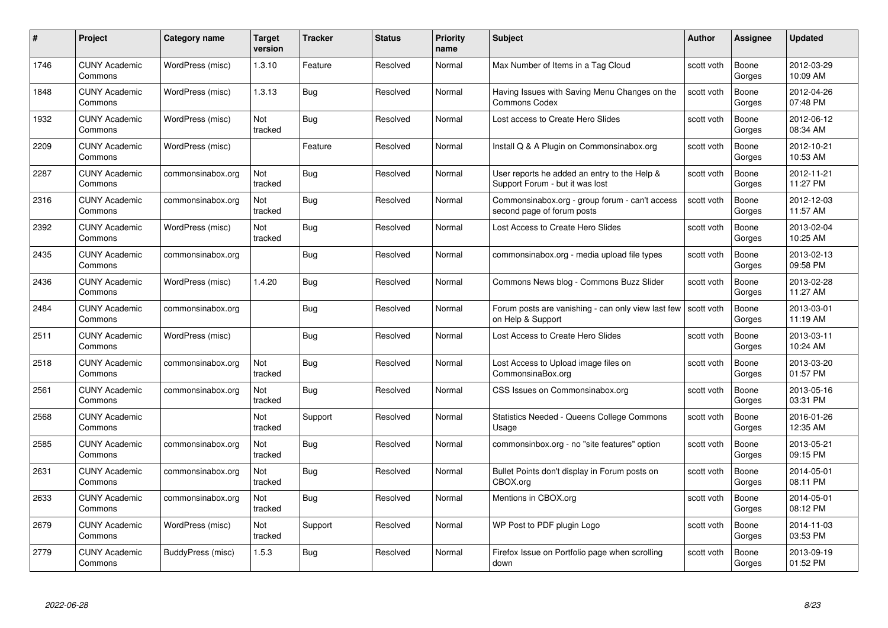| #    | Project                         | <b>Category name</b> | Target<br>version | <b>Tracker</b> | <b>Status</b> | <b>Priority</b><br>name | <b>Subject</b>                                                                       | <b>Author</b> | <b>Assignee</b> | <b>Updated</b>         |
|------|---------------------------------|----------------------|-------------------|----------------|---------------|-------------------------|--------------------------------------------------------------------------------------|---------------|-----------------|------------------------|
| 1746 | <b>CUNY Academic</b><br>Commons | WordPress (misc)     | 1.3.10            | Feature        | Resolved      | Normal                  | Max Number of Items in a Tag Cloud                                                   | scott voth    | Boone<br>Gorges | 2012-03-29<br>10:09 AM |
| 1848 | <b>CUNY Academic</b><br>Commons | WordPress (misc)     | 1.3.13            | Bug            | Resolved      | Normal                  | Having Issues with Saving Menu Changes on the<br><b>Commons Codex</b>                | scott voth    | Boone<br>Gorges | 2012-04-26<br>07:48 PM |
| 1932 | <b>CUNY Academic</b><br>Commons | WordPress (misc)     | Not<br>tracked    | Bug            | Resolved      | Normal                  | Lost access to Create Hero Slides                                                    | scott voth    | Boone<br>Gorges | 2012-06-12<br>08:34 AM |
| 2209 | <b>CUNY Academic</b><br>Commons | WordPress (misc)     |                   | Feature        | Resolved      | Normal                  | Install Q & A Plugin on Commonsinabox.org                                            | scott voth    | Boone<br>Gorges | 2012-10-21<br>10:53 AM |
| 2287 | <b>CUNY Academic</b><br>Commons | commonsinabox.org    | Not<br>tracked    | <b>Bug</b>     | Resolved      | Normal                  | User reports he added an entry to the Help &<br>Support Forum - but it was lost      | scott voth    | Boone<br>Gorges | 2012-11-21<br>11:27 PM |
| 2316 | <b>CUNY Academic</b><br>Commons | commonsinabox.org    | Not<br>tracked    | <b>Bug</b>     | Resolved      | Normal                  | Commonsinabox.org - group forum - can't access<br>second page of forum posts         | scott voth    | Boone<br>Gorges | 2012-12-03<br>11:57 AM |
| 2392 | <b>CUNY Academic</b><br>Commons | WordPress (misc)     | Not<br>tracked    | <b>Bug</b>     | Resolved      | Normal                  | Lost Access to Create Hero Slides                                                    | scott voth    | Boone<br>Gorges | 2013-02-04<br>10:25 AM |
| 2435 | <b>CUNY Academic</b><br>Commons | commonsinabox.org    |                   | <b>Bug</b>     | Resolved      | Normal                  | commonsinabox.org - media upload file types                                          | scott voth    | Boone<br>Gorges | 2013-02-13<br>09:58 PM |
| 2436 | <b>CUNY Academic</b><br>Commons | WordPress (misc)     | 1.4.20            | Bug            | Resolved      | Normal                  | Commons News blog - Commons Buzz Slider                                              | scott voth    | Boone<br>Gorges | 2013-02-28<br>11:27 AM |
| 2484 | <b>CUNY Academic</b><br>Commons | commonsinabox.org    |                   | <b>Bug</b>     | Resolved      | Normal                  | Forum posts are vanishing - can only view last few   scott voth<br>on Help & Support |               | Boone<br>Gorges | 2013-03-01<br>11:19 AM |
| 2511 | <b>CUNY Academic</b><br>Commons | WordPress (misc)     |                   | <b>Bug</b>     | Resolved      | Normal                  | Lost Access to Create Hero Slides                                                    | scott voth    | Boone<br>Gorges | 2013-03-11<br>10:24 AM |
| 2518 | <b>CUNY Academic</b><br>Commons | commonsinabox.org    | Not<br>tracked    | Bug            | Resolved      | Normal                  | Lost Access to Upload image files on<br>CommonsinaBox.org                            | scott voth    | Boone<br>Gorges | 2013-03-20<br>01:57 PM |
| 2561 | <b>CUNY Academic</b><br>Commons | commonsinabox.org    | Not<br>tracked    | <b>Bug</b>     | Resolved      | Normal                  | CSS Issues on Commonsinabox.org                                                      | scott voth    | Boone<br>Gorges | 2013-05-16<br>03:31 PM |
| 2568 | <b>CUNY Academic</b><br>Commons |                      | Not<br>tracked    | Support        | Resolved      | Normal                  | Statistics Needed - Queens College Commons<br>Usage                                  | scott voth    | Boone<br>Gorges | 2016-01-26<br>12:35 AM |
| 2585 | CUNY Academic<br>Commons        | commonsinabox.org    | Not<br>tracked    | Bug            | Resolved      | Normal                  | commonsinbox.org - no "site features" option                                         | scott voth    | Boone<br>Gorges | 2013-05-21<br>09:15 PM |
| 2631 | <b>CUNY Academic</b><br>Commons | commonsinabox.org    | Not<br>tracked    | <b>Bug</b>     | Resolved      | Normal                  | Bullet Points don't display in Forum posts on<br>CBOX.org                            | scott voth    | Boone<br>Gorges | 2014-05-01<br>08:11 PM |
| 2633 | <b>CUNY Academic</b><br>Commons | commonsinabox.org    | Not<br>tracked    | <b>Bug</b>     | Resolved      | Normal                  | Mentions in CBOX.org                                                                 | scott voth    | Boone<br>Gorges | 2014-05-01<br>08:12 PM |
| 2679 | <b>CUNY Academic</b><br>Commons | WordPress (misc)     | Not<br>tracked    | Support        | Resolved      | Normal                  | WP Post to PDF plugin Logo                                                           | scott voth    | Boone<br>Gorges | 2014-11-03<br>03:53 PM |
| 2779 | CUNY Academic<br>Commons        | BuddyPress (misc)    | 1.5.3             | <b>Bug</b>     | Resolved      | Normal                  | Firefox Issue on Portfolio page when scrolling<br>down                               | scott voth    | Boone<br>Gorges | 2013-09-19<br>01:52 PM |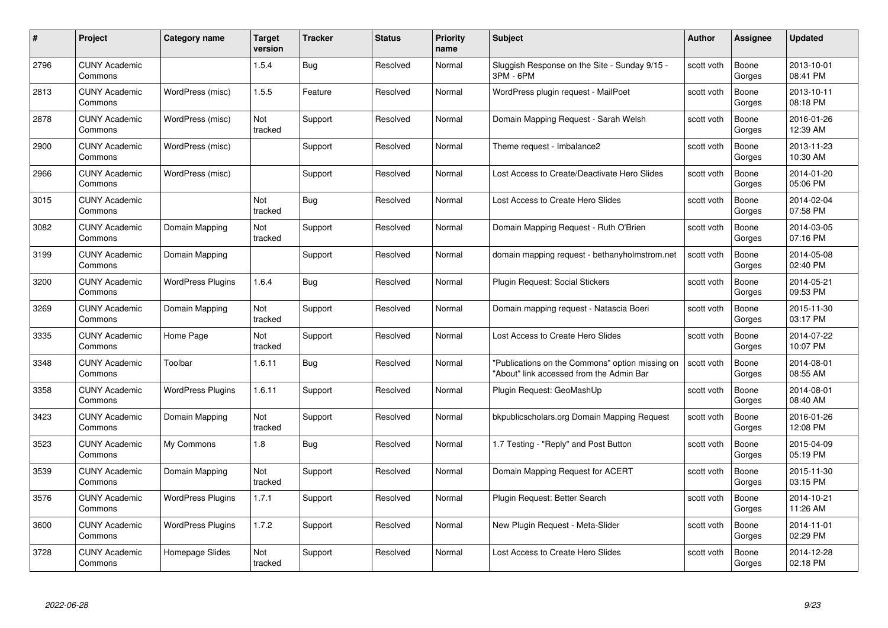| #    | Project                         | <b>Category name</b>     | Target<br>version     | <b>Tracker</b> | <b>Status</b> | <b>Priority</b><br>name | <b>Subject</b>                                                                              | <b>Author</b> | <b>Assignee</b> | <b>Updated</b>         |
|------|---------------------------------|--------------------------|-----------------------|----------------|---------------|-------------------------|---------------------------------------------------------------------------------------------|---------------|-----------------|------------------------|
| 2796 | <b>CUNY Academic</b><br>Commons |                          | 1.5.4                 | Bug            | Resolved      | Normal                  | Sluggish Response on the Site - Sunday 9/15 -<br>3PM - 6PM                                  | scott voth    | Boone<br>Gorges | 2013-10-01<br>08:41 PM |
| 2813 | <b>CUNY Academic</b><br>Commons | WordPress (misc)         | 1.5.5                 | Feature        | Resolved      | Normal                  | WordPress plugin request - MailPoet                                                         | scott voth    | Boone<br>Gorges | 2013-10-11<br>08:18 PM |
| 2878 | <b>CUNY Academic</b><br>Commons | WordPress (misc)         | Not<br>tracked        | Support        | Resolved      | Normal                  | Domain Mapping Request - Sarah Welsh                                                        | scott voth    | Boone<br>Gorges | 2016-01-26<br>12:39 AM |
| 2900 | <b>CUNY Academic</b><br>Commons | WordPress (misc)         |                       | Support        | Resolved      | Normal                  | Theme request - Imbalance2                                                                  | scott voth    | Boone<br>Gorges | 2013-11-23<br>10:30 AM |
| 2966 | CUNY Academic<br>Commons        | WordPress (misc)         |                       | Support        | Resolved      | Normal                  | Lost Access to Create/Deactivate Hero Slides                                                | scott voth    | Boone<br>Gorges | 2014-01-20<br>05:06 PM |
| 3015 | <b>CUNY Academic</b><br>Commons |                          | <b>Not</b><br>tracked | <b>Bug</b>     | Resolved      | Normal                  | Lost Access to Create Hero Slides                                                           | scott voth    | Boone<br>Gorges | 2014-02-04<br>07:58 PM |
| 3082 | <b>CUNY Academic</b><br>Commons | Domain Mapping           | Not<br>tracked        | Support        | Resolved      | Normal                  | Domain Mapping Request - Ruth O'Brien                                                       | scott voth    | Boone<br>Gorges | 2014-03-05<br>07:16 PM |
| 3199 | <b>CUNY Academic</b><br>Commons | Domain Mapping           |                       | Support        | Resolved      | Normal                  | domain mapping request - bethanyholmstrom.net                                               | scott voth    | Boone<br>Gorges | 2014-05-08<br>02:40 PM |
| 3200 | <b>CUNY Academic</b><br>Commons | <b>WordPress Plugins</b> | 1.6.4                 | <b>Bug</b>     | Resolved      | Normal                  | Plugin Request: Social Stickers                                                             | scott voth    | Boone<br>Gorges | 2014-05-21<br>09:53 PM |
| 3269 | <b>CUNY Academic</b><br>Commons | Domain Mapping           | Not<br>tracked        | Support        | Resolved      | Normal                  | Domain mapping request - Natascia Boeri                                                     | scott voth    | Boone<br>Gorges | 2015-11-30<br>03:17 PM |
| 3335 | CUNY Academic<br>Commons        | Home Page                | Not<br>tracked        | Support        | Resolved      | Normal                  | Lost Access to Create Hero Slides                                                           | scott voth    | Boone<br>Gorges | 2014-07-22<br>10:07 PM |
| 3348 | <b>CUNY Academic</b><br>Commons | Toolbar                  | 1.6.11                | <b>Bug</b>     | Resolved      | Normal                  | "Publications on the Commons" option missing on<br>"About" link accessed from the Admin Bar | scott voth    | Boone<br>Gorges | 2014-08-01<br>08:55 AM |
| 3358 | <b>CUNY Academic</b><br>Commons | <b>WordPress Plugins</b> | 1.6.11                | Support        | Resolved      | Normal                  | Plugin Request: GeoMashUp                                                                   | scott voth    | Boone<br>Gorges | 2014-08-01<br>08:40 AM |
| 3423 | <b>CUNY Academic</b><br>Commons | Domain Mapping           | Not<br>tracked        | Support        | Resolved      | Normal                  | bkpublicscholars.org Domain Mapping Request                                                 | scott voth    | Boone<br>Gorges | 2016-01-26<br>12:08 PM |
| 3523 | <b>CUNY Academic</b><br>Commons | My Commons               | 1.8                   | <b>Bug</b>     | Resolved      | Normal                  | 1.7 Testing - "Reply" and Post Button                                                       | scott voth    | Boone<br>Gorges | 2015-04-09<br>05:19 PM |
| 3539 | <b>CUNY Academic</b><br>Commons | Domain Mapping           | Not<br>tracked        | Support        | Resolved      | Normal                  | Domain Mapping Request for ACERT                                                            | scott voth    | Boone<br>Gorges | 2015-11-30<br>03:15 PM |
| 3576 | <b>CUNY Academic</b><br>Commons | <b>WordPress Plugins</b> | 1.7.1                 | Support        | Resolved      | Normal                  | Plugin Request: Better Search                                                               | scott voth    | Boone<br>Gorges | 2014-10-21<br>11:26 AM |
| 3600 | <b>CUNY Academic</b><br>Commons | <b>WordPress Plugins</b> | 1.7.2                 | Support        | Resolved      | Normal                  | New Plugin Request - Meta-Slider                                                            | scott voth    | Boone<br>Gorges | 2014-11-01<br>02:29 PM |
| 3728 | CUNY Academic<br>Commons        | Homepage Slides          | Not<br>tracked        | Support        | Resolved      | Normal                  | Lost Access to Create Hero Slides                                                           | scott voth    | Boone<br>Gorges | 2014-12-28<br>02:18 PM |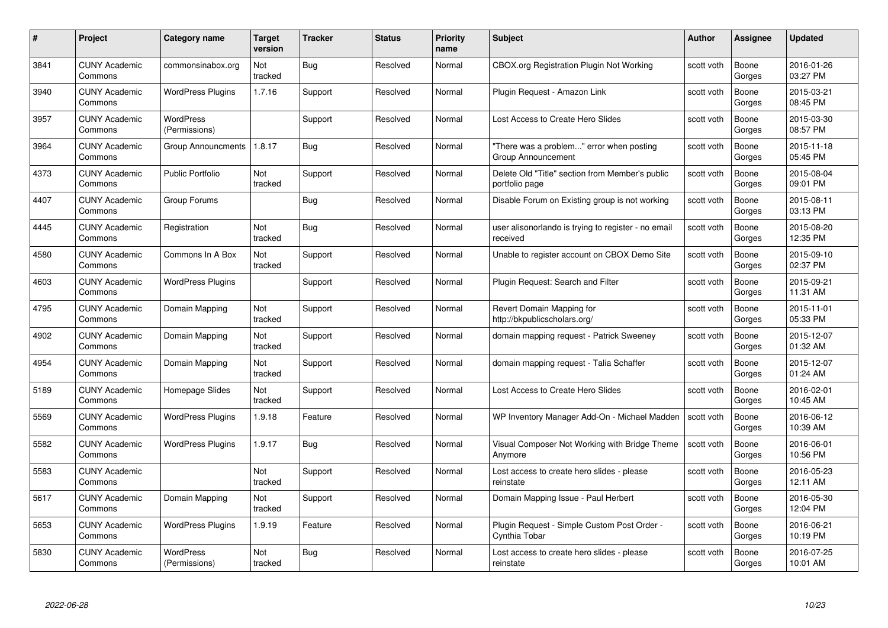| #    | Project                         | Category name                     | Target<br>version | <b>Tracker</b> | <b>Status</b> | <b>Priority</b><br>name | <b>Subject</b>                                                    | Author     | <b>Assignee</b> | <b>Updated</b>         |
|------|---------------------------------|-----------------------------------|-------------------|----------------|---------------|-------------------------|-------------------------------------------------------------------|------------|-----------------|------------------------|
| 3841 | <b>CUNY Academic</b><br>Commons | commonsinabox.org                 | Not<br>tracked    | Bug            | Resolved      | Normal                  | CBOX.org Registration Plugin Not Working                          | scott voth | Boone<br>Gorges | 2016-01-26<br>03:27 PM |
| 3940 | <b>CUNY Academic</b><br>Commons | <b>WordPress Plugins</b>          | 1.7.16            | Support        | Resolved      | Normal                  | Plugin Request - Amazon Link                                      | scott voth | Boone<br>Gorges | 2015-03-21<br>08:45 PM |
| 3957 | <b>CUNY Academic</b><br>Commons | <b>WordPress</b><br>(Permissions) |                   | Support        | Resolved      | Normal                  | Lost Access to Create Hero Slides                                 | scott voth | Boone<br>Gorges | 2015-03-30<br>08:57 PM |
| 3964 | <b>CUNY Academic</b><br>Commons | Group Announcments                | 1.8.17            | Bug            | Resolved      | Normal                  | "There was a problem" error when posting<br>Group Announcement    | scott voth | Boone<br>Gorges | 2015-11-18<br>05:45 PM |
| 4373 | <b>CUNY Academic</b><br>Commons | <b>Public Portfolio</b>           | Not<br>tracked    | Support        | Resolved      | Normal                  | Delete Old "Title" section from Member's public<br>portfolio page | scott voth | Boone<br>Gorges | 2015-08-04<br>09:01 PM |
| 4407 | <b>CUNY Academic</b><br>Commons | Group Forums                      |                   | Bug            | Resolved      | Normal                  | Disable Forum on Existing group is not working                    | scott voth | Boone<br>Gorges | 2015-08-11<br>03:13 PM |
| 4445 | <b>CUNY Academic</b><br>Commons | Registration                      | Not<br>tracked    | Bug            | Resolved      | Normal                  | user alisonorlando is trying to register - no email<br>received   | scott voth | Boone<br>Gorges | 2015-08-20<br>12:35 PM |
| 4580 | <b>CUNY Academic</b><br>Commons | Commons In A Box                  | Not<br>tracked    | Support        | Resolved      | Normal                  | Unable to register account on CBOX Demo Site                      | scott voth | Boone<br>Gorges | 2015-09-10<br>02:37 PM |
| 4603 | <b>CUNY Academic</b><br>Commons | <b>WordPress Plugins</b>          |                   | Support        | Resolved      | Normal                  | Plugin Request: Search and Filter                                 | scott voth | Boone<br>Gorges | 2015-09-21<br>11:31 AM |
| 4795 | <b>CUNY Academic</b><br>Commons | Domain Mapping                    | Not<br>tracked    | Support        | Resolved      | Normal                  | Revert Domain Mapping for<br>http://bkpublicscholars.org/         | scott voth | Boone<br>Gorges | 2015-11-01<br>05:33 PM |
| 4902 | <b>CUNY Academic</b><br>Commons | Domain Mapping                    | Not<br>tracked    | Support        | Resolved      | Normal                  | domain mapping request - Patrick Sweeney                          | scott voth | Boone<br>Gorges | 2015-12-07<br>01:32 AM |
| 4954 | <b>CUNY Academic</b><br>Commons | Domain Mapping                    | Not<br>tracked    | Support        | Resolved      | Normal                  | domain mapping request - Talia Schaffer                           | scott voth | Boone<br>Gorges | 2015-12-07<br>01:24 AM |
| 5189 | <b>CUNY Academic</b><br>Commons | Homepage Slides                   | Not<br>tracked    | Support        | Resolved      | Normal                  | Lost Access to Create Hero Slides                                 | scott voth | Boone<br>Gorges | 2016-02-01<br>10:45 AM |
| 5569 | <b>CUNY Academic</b><br>Commons | <b>WordPress Plugins</b>          | 1.9.18            | Feature        | Resolved      | Normal                  | WP Inventory Manager Add-On - Michael Madden                      | scott voth | Boone<br>Gorges | 2016-06-12<br>10:39 AM |
| 5582 | <b>CUNY Academic</b><br>Commons | <b>WordPress Plugins</b>          | 1.9.17            | Bug            | Resolved      | Normal                  | Visual Composer Not Working with Bridge Theme<br>Anymore          | scott voth | Boone<br>Gorges | 2016-06-01<br>10:56 PM |
| 5583 | <b>CUNY Academic</b><br>Commons |                                   | Not<br>tracked    | Support        | Resolved      | Normal                  | Lost access to create hero slides - please<br>reinstate           | scott voth | Boone<br>Gorges | 2016-05-23<br>12:11 AM |
| 5617 | <b>CUNY Academic</b><br>Commons | Domain Mapping                    | Not<br>tracked    | Support        | Resolved      | Normal                  | Domain Mapping Issue - Paul Herbert                               | scott voth | Boone<br>Gorges | 2016-05-30<br>12:04 PM |
| 5653 | <b>CUNY Academic</b><br>Commons | <b>WordPress Plugins</b>          | 1.9.19            | Feature        | Resolved      | Normal                  | Plugin Request - Simple Custom Post Order -<br>Cynthia Tobar      | scott voth | Boone<br>Gorges | 2016-06-21<br>10:19 PM |
| 5830 | CUNY Academic<br>Commons        | <b>WordPress</b><br>(Permissions) | Not<br>tracked    | <b>Bug</b>     | Resolved      | Normal                  | Lost access to create hero slides - please<br>reinstate           | scott voth | Boone<br>Gorges | 2016-07-25<br>10:01 AM |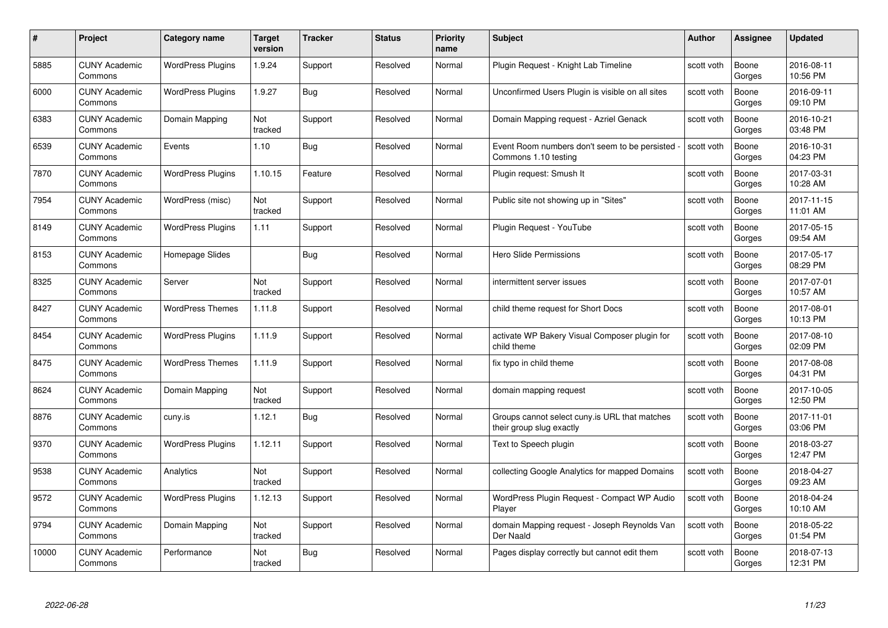| #     | Project                         | <b>Category name</b>     | Target<br>version | <b>Tracker</b> | <b>Status</b> | <b>Priority</b><br>name | <b>Subject</b>                                                            | <b>Author</b> | <b>Assignee</b> | <b>Updated</b>         |
|-------|---------------------------------|--------------------------|-------------------|----------------|---------------|-------------------------|---------------------------------------------------------------------------|---------------|-----------------|------------------------|
| 5885  | <b>CUNY Academic</b><br>Commons | <b>WordPress Plugins</b> | 1.9.24            | Support        | Resolved      | Normal                  | Plugin Reguest - Knight Lab Timeline                                      | scott voth    | Boone<br>Gorges | 2016-08-11<br>10:56 PM |
| 6000  | <b>CUNY Academic</b><br>Commons | <b>WordPress Plugins</b> | 1.9.27            | <b>Bug</b>     | Resolved      | Normal                  | Unconfirmed Users Plugin is visible on all sites                          | scott voth    | Boone<br>Gorges | 2016-09-11<br>09:10 PM |
| 6383  | <b>CUNY Academic</b><br>Commons | Domain Mapping           | Not<br>tracked    | Support        | Resolved      | Normal                  | Domain Mapping request - Azriel Genack                                    | scott voth    | Boone<br>Gorges | 2016-10-21<br>03:48 PM |
| 6539  | <b>CUNY Academic</b><br>Commons | Events                   | 1.10              | <b>Bug</b>     | Resolved      | Normal                  | Event Room numbers don't seem to be persisted<br>Commons 1.10 testing     | scott voth    | Boone<br>Gorges | 2016-10-31<br>04:23 PM |
| 7870  | CUNY Academic<br>Commons        | <b>WordPress Plugins</b> | 1.10.15           | Feature        | Resolved      | Normal                  | Plugin request: Smush It                                                  | scott voth    | Boone<br>Gorges | 2017-03-31<br>10:28 AM |
| 7954  | <b>CUNY Academic</b><br>Commons | WordPress (misc)         | Not<br>tracked    | Support        | Resolved      | Normal                  | Public site not showing up in "Sites"                                     | scott voth    | Boone<br>Gorges | 2017-11-15<br>11:01 AM |
| 8149  | <b>CUNY Academic</b><br>Commons | <b>WordPress Plugins</b> | 1.11              | Support        | Resolved      | Normal                  | Plugin Request - YouTube                                                  | scott voth    | Boone<br>Gorges | 2017-05-15<br>09:54 AM |
| 8153  | <b>CUNY Academic</b><br>Commons | Homepage Slides          |                   | <b>Bug</b>     | Resolved      | Normal                  | <b>Hero Slide Permissions</b>                                             | scott voth    | Boone<br>Gorges | 2017-05-17<br>08:29 PM |
| 8325  | <b>CUNY Academic</b><br>Commons | Server                   | Not<br>tracked    | Support        | Resolved      | Normal                  | intermittent server issues                                                | scott voth    | Boone<br>Gorges | 2017-07-01<br>10:57 AM |
| 8427  | <b>CUNY Academic</b><br>Commons | <b>WordPress Themes</b>  | 1.11.8            | Support        | Resolved      | Normal                  | child theme request for Short Docs                                        | scott voth    | Boone<br>Gorges | 2017-08-01<br>10:13 PM |
| 8454  | CUNY Academic<br>Commons        | <b>WordPress Plugins</b> | 1.11.9            | Support        | Resolved      | Normal                  | activate WP Bakery Visual Composer plugin for<br>child theme              | scott voth    | Boone<br>Gorges | 2017-08-10<br>02:09 PM |
| 8475  | <b>CUNY Academic</b><br>Commons | <b>WordPress Themes</b>  | 1.11.9            | Support        | Resolved      | Normal                  | fix typo in child theme                                                   | scott voth    | Boone<br>Gorges | 2017-08-08<br>04:31 PM |
| 8624  | <b>CUNY Academic</b><br>Commons | Domain Mapping           | Not<br>tracked    | Support        | Resolved      | Normal                  | domain mapping request                                                    | scott voth    | Boone<br>Gorges | 2017-10-05<br>12:50 PM |
| 8876  | <b>CUNY Academic</b><br>Commons | cuny.is                  | 1.12.1            | <b>Bug</b>     | Resolved      | Normal                  | Groups cannot select cuny is URL that matches<br>their group slug exactly | scott voth    | Boone<br>Gorges | 2017-11-01<br>03:06 PM |
| 9370  | <b>CUNY Academic</b><br>Commons | <b>WordPress Plugins</b> | 1.12.11           | Support        | Resolved      | Normal                  | Text to Speech plugin                                                     | scott voth    | Boone<br>Gorges | 2018-03-27<br>12:47 PM |
| 9538  | <b>CUNY Academic</b><br>Commons | Analytics                | Not<br>tracked    | Support        | Resolved      | Normal                  | collecting Google Analytics for mapped Domains                            | scott voth    | Boone<br>Gorges | 2018-04-27<br>09:23 AM |
| 9572  | <b>CUNY Academic</b><br>Commons | <b>WordPress Plugins</b> | 1.12.13           | Support        | Resolved      | Normal                  | WordPress Plugin Request - Compact WP Audio<br>Player                     | scott voth    | Boone<br>Gorges | 2018-04-24<br>10:10 AM |
| 9794  | <b>CUNY Academic</b><br>Commons | Domain Mapping           | Not<br>tracked    | Support        | Resolved      | Normal                  | domain Mapping request - Joseph Reynolds Van<br>Der Naald                 | scott voth    | Boone<br>Gorges | 2018-05-22<br>01:54 PM |
| 10000 | CUNY Academic<br>Commons        | Performance              | Not<br>tracked    | <b>Bug</b>     | Resolved      | Normal                  | Pages display correctly but cannot edit them                              | scott voth    | Boone<br>Gorges | 2018-07-13<br>12:31 PM |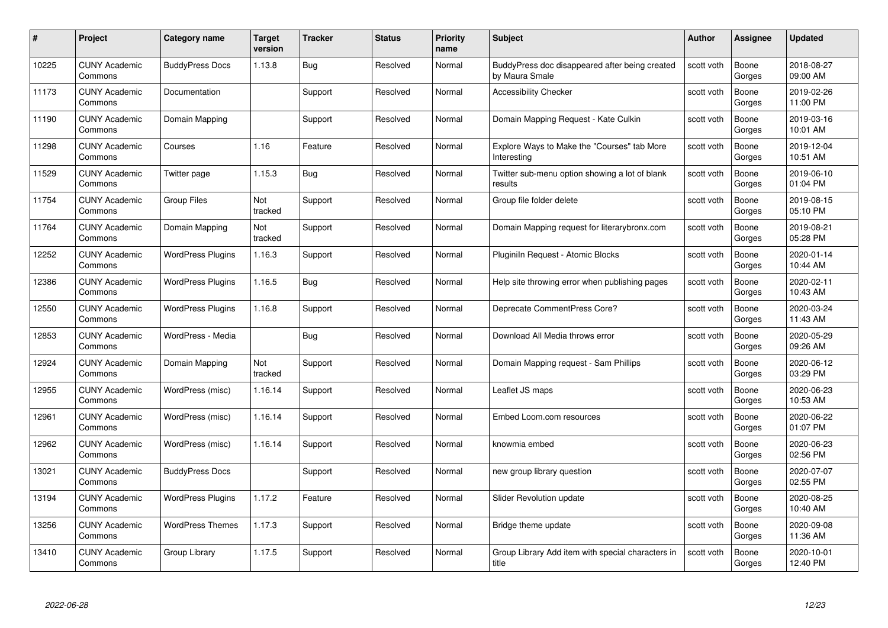| #     | Project                         | <b>Category name</b>     | Target<br>version | <b>Tracker</b> | <b>Status</b> | <b>Priority</b><br>name | <b>Subject</b>                                                   | <b>Author</b> | <b>Assignee</b> | <b>Updated</b>         |
|-------|---------------------------------|--------------------------|-------------------|----------------|---------------|-------------------------|------------------------------------------------------------------|---------------|-----------------|------------------------|
| 10225 | <b>CUNY Academic</b><br>Commons | <b>BuddyPress Docs</b>   | 1.13.8            | Bug            | Resolved      | Normal                  | BuddyPress doc disappeared after being created<br>by Maura Smale | scott voth    | Boone<br>Gorges | 2018-08-27<br>09:00 AM |
| 11173 | <b>CUNY Academic</b><br>Commons | Documentation            |                   | Support        | Resolved      | Normal                  | <b>Accessibility Checker</b>                                     | scott voth    | Boone<br>Gorges | 2019-02-26<br>11:00 PM |
| 11190 | <b>CUNY Academic</b><br>Commons | Domain Mapping           |                   | Support        | Resolved      | Normal                  | Domain Mapping Request - Kate Culkin                             | scott voth    | Boone<br>Gorges | 2019-03-16<br>10:01 AM |
| 11298 | <b>CUNY Academic</b><br>Commons | Courses                  | 1.16              | Feature        | Resolved      | Normal                  | Explore Ways to Make the "Courses" tab More<br>Interesting       | scott voth    | Boone<br>Gorges | 2019-12-04<br>10:51 AM |
| 11529 | CUNY Academic<br>Commons        | Twitter page             | 1.15.3            | <b>Bug</b>     | Resolved      | Normal                  | Twitter sub-menu option showing a lot of blank<br>results        | scott voth    | Boone<br>Gorges | 2019-06-10<br>01:04 PM |
| 11754 | <b>CUNY Academic</b><br>Commons | <b>Group Files</b>       | Not<br>tracked    | Support        | Resolved      | Normal                  | Group file folder delete                                         | scott voth    | Boone<br>Gorges | 2019-08-15<br>05:10 PM |
| 11764 | <b>CUNY Academic</b><br>Commons | Domain Mapping           | Not<br>tracked    | Support        | Resolved      | Normal                  | Domain Mapping request for literarybronx.com                     | scott voth    | Boone<br>Gorges | 2019-08-21<br>05:28 PM |
| 12252 | <b>CUNY Academic</b><br>Commons | <b>WordPress Plugins</b> | 1.16.3            | Support        | Resolved      | Normal                  | Pluginiln Request - Atomic Blocks                                | scott voth    | Boone<br>Gorges | 2020-01-14<br>10:44 AM |
| 12386 | <b>CUNY Academic</b><br>Commons | <b>WordPress Plugins</b> | 1.16.5            | <b>Bug</b>     | Resolved      | Normal                  | Help site throwing error when publishing pages                   | scott voth    | Boone<br>Gorges | 2020-02-11<br>10:43 AM |
| 12550 | <b>CUNY Academic</b><br>Commons | <b>WordPress Plugins</b> | 1.16.8            | Support        | Resolved      | Normal                  | Deprecate CommentPress Core?                                     | scott voth    | Boone<br>Gorges | 2020-03-24<br>11:43 AM |
| 12853 | CUNY Academic<br>Commons        | WordPress - Media        |                   | Bug            | Resolved      | Normal                  | Download All Media throws error                                  | scott voth    | Boone<br>Gorges | 2020-05-29<br>09:26 AM |
| 12924 | <b>CUNY Academic</b><br>Commons | Domain Mapping           | Not<br>tracked    | Support        | Resolved      | Normal                  | Domain Mapping request - Sam Phillips                            | scott voth    | Boone<br>Gorges | 2020-06-12<br>03:29 PM |
| 12955 | <b>CUNY Academic</b><br>Commons | WordPress (misc)         | 1.16.14           | Support        | Resolved      | Normal                  | Leaflet JS maps                                                  | scott voth    | Boone<br>Gorges | 2020-06-23<br>10:53 AM |
| 12961 | <b>CUNY Academic</b><br>Commons | WordPress (misc)         | 1.16.14           | Support        | Resolved      | Normal                  | Embed Loom.com resources                                         | scott voth    | Boone<br>Gorges | 2020-06-22<br>01:07 PM |
| 12962 | <b>CUNY Academic</b><br>Commons | WordPress (misc)         | 1.16.14           | Support        | Resolved      | Normal                  | knowmia embed                                                    | scott voth    | Boone<br>Gorges | 2020-06-23<br>02:56 PM |
| 13021 | <b>CUNY Academic</b><br>Commons | <b>BuddyPress Docs</b>   |                   | Support        | Resolved      | Normal                  | new group library question                                       | scott voth    | Boone<br>Gorges | 2020-07-07<br>02:55 PM |
| 13194 | <b>CUNY Academic</b><br>Commons | <b>WordPress Plugins</b> | 1.17.2            | Feature        | Resolved      | Normal                  | <b>Slider Revolution update</b>                                  | scott voth    | Boone<br>Gorges | 2020-08-25<br>10:40 AM |
| 13256 | <b>CUNY Academic</b><br>Commons | <b>WordPress Themes</b>  | 1.17.3            | Support        | Resolved      | Normal                  | Bridge theme update                                              | scott voth    | Boone<br>Gorges | 2020-09-08<br>11:36 AM |
| 13410 | CUNY Academic<br>Commons        | Group Library            | 1.17.5            | Support        | Resolved      | Normal                  | Group Library Add item with special characters in<br>title       | scott voth    | Boone<br>Gorges | 2020-10-01<br>12:40 PM |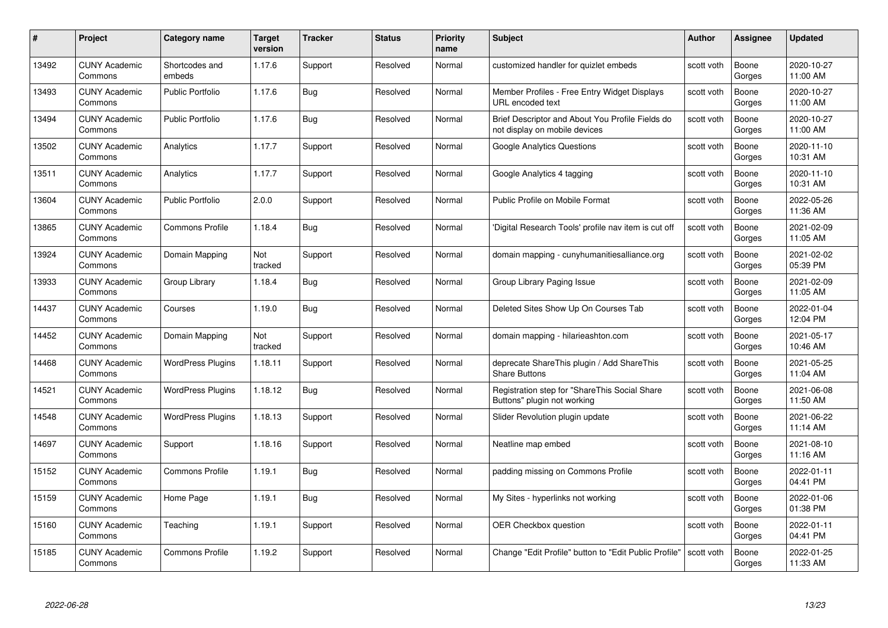| #     | Project                         | <b>Category name</b>     | Target<br>version | <b>Tracker</b> | <b>Status</b> | <b>Priority</b><br>name | <b>Subject</b>                                                                    | <b>Author</b> | <b>Assignee</b> | <b>Updated</b>         |
|-------|---------------------------------|--------------------------|-------------------|----------------|---------------|-------------------------|-----------------------------------------------------------------------------------|---------------|-----------------|------------------------|
| 13492 | <b>CUNY Academic</b><br>Commons | Shortcodes and<br>embeds | 1.17.6            | Support        | Resolved      | Normal                  | customized handler for quizlet embeds                                             | scott voth    | Boone<br>Gorges | 2020-10-27<br>11:00 AM |
| 13493 | <b>CUNY Academic</b><br>Commons | Public Portfolio         | 1.17.6            | Bug            | Resolved      | Normal                  | Member Profiles - Free Entry Widget Displays<br>URL encoded text                  | scott voth    | Boone<br>Gorges | 2020-10-27<br>11:00 AM |
| 13494 | <b>CUNY Academic</b><br>Commons | <b>Public Portfolio</b>  | 1.17.6            | <b>Bug</b>     | Resolved      | Normal                  | Brief Descriptor and About You Profile Fields do<br>not display on mobile devices | scott voth    | Boone<br>Gorges | 2020-10-27<br>11:00 AM |
| 13502 | <b>CUNY Academic</b><br>Commons | Analytics                | 1.17.7            | Support        | Resolved      | Normal                  | <b>Google Analytics Questions</b>                                                 | scott voth    | Boone<br>Gorges | 2020-11-10<br>10:31 AM |
| 13511 | <b>CUNY Academic</b><br>Commons | Analytics                | 1.17.7            | Support        | Resolved      | Normal                  | Google Analytics 4 tagging                                                        | scott voth    | Boone<br>Gorges | 2020-11-10<br>10:31 AM |
| 13604 | <b>CUNY Academic</b><br>Commons | <b>Public Portfolio</b>  | 2.0.0             | Support        | Resolved      | Normal                  | Public Profile on Mobile Format                                                   | scott voth    | Boone<br>Gorges | 2022-05-26<br>11:36 AM |
| 13865 | <b>CUNY Academic</b><br>Commons | <b>Commons Profile</b>   | 1.18.4            | Bug            | Resolved      | Normal                  | 'Digital Research Tools' profile nav item is cut off                              | scott voth    | Boone<br>Gorges | 2021-02-09<br>11:05 AM |
| 13924 | <b>CUNY Academic</b><br>Commons | Domain Mapping           | Not<br>tracked    | Support        | Resolved      | Normal                  | domain mapping - cunyhumanitiesalliance.org                                       | scott voth    | Boone<br>Gorges | 2021-02-02<br>05:39 PM |
| 13933 | <b>CUNY Academic</b><br>Commons | Group Library            | 1.18.4            | Bug            | Resolved      | Normal                  | Group Library Paging Issue                                                        | scott voth    | Boone<br>Gorges | 2021-02-09<br>11:05 AM |
| 14437 | <b>CUNY Academic</b><br>Commons | Courses                  | 1.19.0            | <b>Bug</b>     | Resolved      | Normal                  | Deleted Sites Show Up On Courses Tab                                              | scott voth    | Boone<br>Gorges | 2022-01-04<br>12:04 PM |
| 14452 | CUNY Academic<br>Commons        | Domain Mapping           | Not<br>tracked    | Support        | Resolved      | Normal                  | domain mapping - hilarieashton.com                                                | scott voth    | Boone<br>Gorges | 2021-05-17<br>10:46 AM |
| 14468 | <b>CUNY Academic</b><br>Commons | <b>WordPress Plugins</b> | 1.18.11           | Support        | Resolved      | Normal                  | deprecate ShareThis plugin / Add ShareThis<br><b>Share Buttons</b>                | scott voth    | Boone<br>Gorges | 2021-05-25<br>11:04 AM |
| 14521 | <b>CUNY Academic</b><br>Commons | <b>WordPress Plugins</b> | 1.18.12           | <b>Bug</b>     | Resolved      | Normal                  | Registration step for "ShareThis Social Share<br>Buttons" plugin not working      | scott voth    | Boone<br>Gorges | 2021-06-08<br>11:50 AM |
| 14548 | <b>CUNY Academic</b><br>Commons | <b>WordPress Plugins</b> | 1.18.13           | Support        | Resolved      | Normal                  | Slider Revolution plugin update                                                   | scott voth    | Boone<br>Gorges | 2021-06-22<br>11:14 AM |
| 14697 | <b>CUNY Academic</b><br>Commons | Support                  | 1.18.16           | Support        | Resolved      | Normal                  | Neatline map embed                                                                | scott voth    | Boone<br>Gorges | 2021-08-10<br>11:16 AM |
| 15152 | <b>CUNY Academic</b><br>Commons | <b>Commons Profile</b>   | 1.19.1            | Bug            | Resolved      | Normal                  | padding missing on Commons Profile                                                | scott voth    | Boone<br>Gorges | 2022-01-11<br>04:41 PM |
| 15159 | <b>CUNY Academic</b><br>Commons | Home Page                | 1.19.1            | <b>Bug</b>     | Resolved      | Normal                  | My Sites - hyperlinks not working                                                 | scott voth    | Boone<br>Gorges | 2022-01-06<br>01:38 PM |
| 15160 | <b>CUNY Academic</b><br>Commons | Teaching                 | 1.19.1            | Support        | Resolved      | Normal                  | <b>OER Checkbox question</b>                                                      | scott voth    | Boone<br>Gorges | 2022-01-11<br>04:41 PM |
| 15185 | CUNY Academic<br>Commons        | <b>Commons Profile</b>   | 1.19.2            | Support        | Resolved      | Normal                  | Change "Edit Profile" button to "Edit Public Profile"                             | scott voth    | Boone<br>Gorges | 2022-01-25<br>11:33 AM |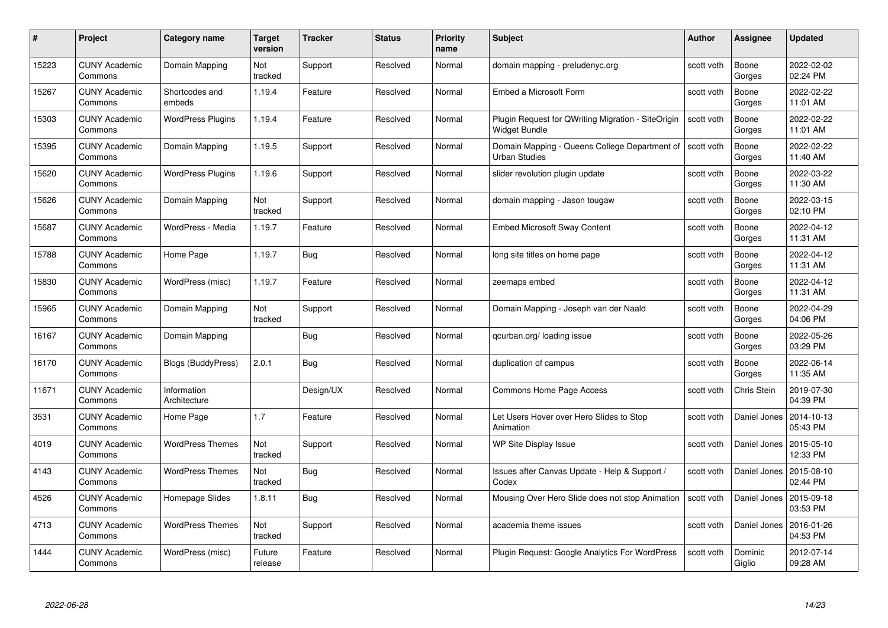| #     | Project                         | <b>Category name</b>        | Target<br>version | <b>Tracker</b> | <b>Status</b> | <b>Priority</b><br>name | <b>Subject</b>                                                        | <b>Author</b> | <b>Assignee</b>   | <b>Updated</b>         |
|-------|---------------------------------|-----------------------------|-------------------|----------------|---------------|-------------------------|-----------------------------------------------------------------------|---------------|-------------------|------------------------|
| 15223 | <b>CUNY Academic</b><br>Commons | Domain Mapping              | Not<br>tracked    | Support        | Resolved      | Normal                  | domain mapping - preludenyc.org                                       | scott voth    | Boone<br>Gorges   | 2022-02-02<br>02:24 PM |
| 15267 | <b>CUNY Academic</b><br>Commons | Shortcodes and<br>embeds    | 1.19.4            | Feature        | Resolved      | Normal                  | Embed a Microsoft Form                                                | scott voth    | Boone<br>Gorges   | 2022-02-22<br>11:01 AM |
| 15303 | <b>CUNY Academic</b><br>Commons | <b>WordPress Plugins</b>    | 1.19.4            | Feature        | Resolved      | Normal                  | Plugin Request for QWriting Migration - SiteOrigin<br>Widget Bundle   | scott voth    | Boone<br>Gorges   | 2022-02-22<br>11:01 AM |
| 15395 | <b>CUNY Academic</b><br>Commons | Domain Mapping              | 1.19.5            | Support        | Resolved      | Normal                  | Domain Mapping - Queens College Department of<br><b>Urban Studies</b> | scott voth    | Boone<br>Gorges   | 2022-02-22<br>11:40 AM |
| 15620 | <b>CUNY Academic</b><br>Commons | <b>WordPress Plugins</b>    | 1.19.6            | Support        | Resolved      | Normal                  | slider revolution plugin update                                       | scott voth    | Boone<br>Gorges   | 2022-03-22<br>11:30 AM |
| 15626 | <b>CUNY Academic</b><br>Commons | Domain Mapping              | Not<br>tracked    | Support        | Resolved      | Normal                  | domain mapping - Jason tougaw                                         | scott voth    | Boone<br>Gorges   | 2022-03-15<br>02:10 PM |
| 15687 | <b>CUNY Academic</b><br>Commons | WordPress - Media           | 1.19.7            | Feature        | Resolved      | Normal                  | <b>Embed Microsoft Sway Content</b>                                   | scott voth    | Boone<br>Gorges   | 2022-04-12<br>11:31 AM |
| 15788 | <b>CUNY Academic</b><br>Commons | Home Page                   | 1.19.7            | Bug            | Resolved      | Normal                  | long site titles on home page                                         | scott voth    | Boone<br>Gorges   | 2022-04-12<br>11:31 AM |
| 15830 | <b>CUNY Academic</b><br>Commons | WordPress (misc)            | 1.19.7            | Feature        | Resolved      | Normal                  | zeemaps embed                                                         | scott voth    | Boone<br>Gorges   | 2022-04-12<br>11:31 AM |
| 15965 | <b>CUNY Academic</b><br>Commons | Domain Mapping              | Not<br>tracked    | Support        | Resolved      | Normal                  | Domain Mapping - Joseph van der Naald                                 | scott voth    | Boone<br>Gorges   | 2022-04-29<br>04:06 PM |
| 16167 | <b>CUNY Academic</b><br>Commons | Domain Mapping              |                   | <b>Bug</b>     | Resolved      | Normal                  | qcurban.org/loading issue                                             | scott voth    | Boone<br>Gorges   | 2022-05-26<br>03:29 PM |
| 16170 | CUNY Academic<br>Commons        | Blogs (BuddyPress)          | 2.0.1             | Bug            | Resolved      | Normal                  | duplication of campus                                                 | scott voth    | Boone<br>Gorges   | 2022-06-14<br>11:35 AM |
| 11671 | <b>CUNY Academic</b><br>Commons | Information<br>Architecture |                   | Design/UX      | Resolved      | Normal                  | Commons Home Page Access                                              | scott voth    | Chris Stein       | 2019-07-30<br>04:39 PM |
| 3531  | <b>CUNY Academic</b><br>Commons | Home Page                   | 1.7               | Feature        | Resolved      | Normal                  | Let Users Hover over Hero Slides to Stop<br>Animation                 | scott voth    | Daniel Jones      | 2014-10-13<br>05:43 PM |
| 4019  | CUNY Academic<br>Commons        | <b>WordPress Themes</b>     | Not<br>tracked    | Support        | Resolved      | Normal                  | WP Site Display Issue                                                 | scott voth    | Daniel Jones      | 2015-05-10<br>12:33 PM |
| 4143  | <b>CUNY Academic</b><br>Commons | <b>WordPress Themes</b>     | Not<br>tracked    | <b>Bug</b>     | Resolved      | Normal                  | Issues after Canvas Update - Help & Support /<br>Codex                | scott voth    | Daniel Jones      | 2015-08-10<br>02:44 PM |
| 4526  | <b>CUNY Academic</b><br>Commons | Homepage Slides             | 1.8.11            | Bug            | Resolved      | Normal                  | Mousing Over Hero Slide does not stop Animation                       | scott voth    | Daniel Jones      | 2015-09-18<br>03:53 PM |
| 4713  | <b>CUNY Academic</b><br>Commons | <b>WordPress Themes</b>     | Not<br>tracked    | Support        | Resolved      | Normal                  | academia theme issues                                                 | scott voth    | Daniel Jones      | 2016-01-26<br>04:53 PM |
| 1444  | CUNY Academic<br>Commons        | WordPress (misc)            | Future<br>release | Feature        | Resolved      | Normal                  | Plugin Request: Google Analytics For WordPress                        | scott voth    | Dominic<br>Giglio | 2012-07-14<br>09:28 AM |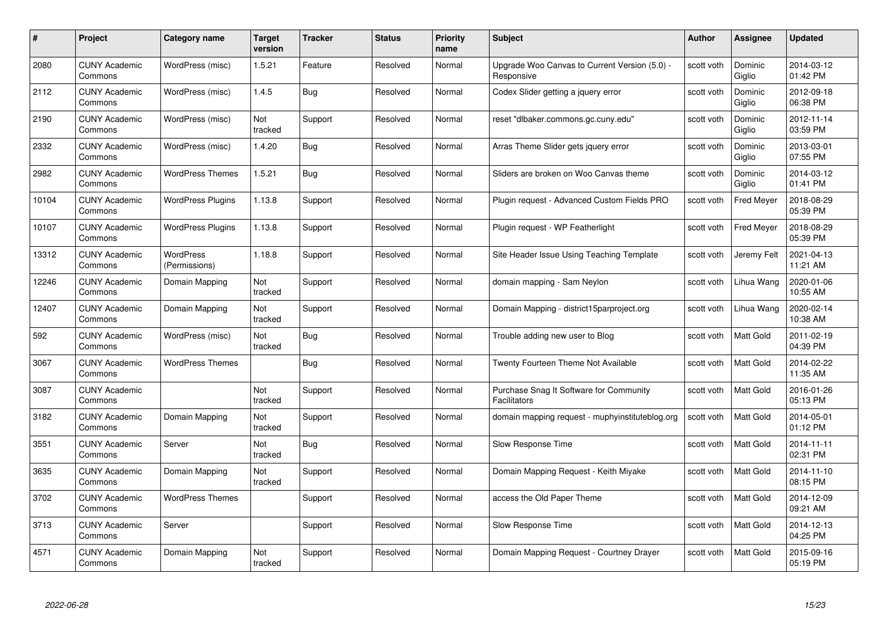| #     | Project                         | <b>Category name</b>       | Target<br>version | <b>Tracker</b> | <b>Status</b> | <b>Priority</b><br>name | <b>Subject</b>                                              | <b>Author</b> | <b>Assignee</b>   | <b>Updated</b>         |
|-------|---------------------------------|----------------------------|-------------------|----------------|---------------|-------------------------|-------------------------------------------------------------|---------------|-------------------|------------------------|
| 2080  | <b>CUNY Academic</b><br>Commons | WordPress (misc)           | 1.5.21            | Feature        | Resolved      | Normal                  | Upgrade Woo Canvas to Current Version (5.0) -<br>Responsive | scott voth    | Dominic<br>Giglio | 2014-03-12<br>01:42 PM |
| 2112  | <b>CUNY Academic</b><br>Commons | WordPress (misc)           | 1.4.5             | Bug            | Resolved      | Normal                  | Codex Slider getting a jquery error                         | scott voth    | Dominic<br>Giglio | 2012-09-18<br>06:38 PM |
| 2190  | <b>CUNY Academic</b><br>Commons | WordPress (misc)           | Not<br>tracked    | Support        | Resolved      | Normal                  | reset "dlbaker.commons.gc.cuny.edu"                         | scott voth    | Dominic<br>Giglio | 2012-11-14<br>03:59 PM |
| 2332  | <b>CUNY Academic</b><br>Commons | WordPress (misc)           | 1.4.20            | Bug            | Resolved      | Normal                  | Arras Theme Slider gets jquery error                        | scott voth    | Dominic<br>Giglio | 2013-03-01<br>07:55 PM |
| 2982  | CUNY Academic<br>Commons        | <b>WordPress Themes</b>    | 1.5.21            | <b>Bug</b>     | Resolved      | Normal                  | Sliders are broken on Woo Canvas theme                      | scott voth    | Dominic<br>Giglio | 2014-03-12<br>01:41 PM |
| 10104 | <b>CUNY Academic</b><br>Commons | <b>WordPress Plugins</b>   | 1.13.8            | Support        | Resolved      | Normal                  | Plugin request - Advanced Custom Fields PRO                 | scott voth    | <b>Fred Meyer</b> | 2018-08-29<br>05:39 PM |
| 10107 | <b>CUNY Academic</b><br>Commons | <b>WordPress Plugins</b>   | 1.13.8            | Support        | Resolved      | Normal                  | Plugin request - WP Featherlight                            | scott voth    | <b>Fred Meyer</b> | 2018-08-29<br>05:39 PM |
| 13312 | <b>CUNY Academic</b><br>Commons | WordPress<br>(Permissions) | 1.18.8            | Support        | Resolved      | Normal                  | Site Header Issue Using Teaching Template                   | scott voth    | Jeremy Felt       | 2021-04-13<br>11:21 AM |
| 12246 | <b>CUNY Academic</b><br>Commons | Domain Mapping             | Not<br>tracked    | Support        | Resolved      | Normal                  | domain mapping - Sam Neylon                                 | scott voth    | Lihua Wang        | 2020-01-06<br>10:55 AM |
| 12407 | <b>CUNY Academic</b><br>Commons | Domain Mapping             | Not<br>tracked    | Support        | Resolved      | Normal                  | Domain Mapping - district15parproject.org                   | scott voth    | Lihua Wang        | 2020-02-14<br>10:38 AM |
| 592   | CUNY Academic<br>Commons        | WordPress (misc)           | Not<br>tracked    | <b>Bug</b>     | Resolved      | Normal                  | Trouble adding new user to Blog                             | scott voth    | Matt Gold         | 2011-02-19<br>04:39 PM |
| 3067  | <b>CUNY Academic</b><br>Commons | <b>WordPress Themes</b>    |                   | <b>Bug</b>     | Resolved      | Normal                  | Twenty Fourteen Theme Not Available                         | scott voth    | Matt Gold         | 2014-02-22<br>11:35 AM |
| 3087  | <b>CUNY Academic</b><br>Commons |                            | Not<br>tracked    | Support        | Resolved      | Normal                  | Purchase Snag It Software for Community<br>Facilitators     | scott voth    | <b>Matt Gold</b>  | 2016-01-26<br>05:13 PM |
| 3182  | <b>CUNY Academic</b><br>Commons | Domain Mapping             | Not<br>tracked    | Support        | Resolved      | Normal                  | domain mapping request - muphyinstituteblog.org             | scott voth    | Matt Gold         | 2014-05-01<br>01:12 PM |
| 3551  | <b>CUNY Academic</b><br>Commons | Server                     | Not<br>tracked    | <b>Bug</b>     | Resolved      | Normal                  | Slow Response Time                                          | scott voth    | Matt Gold         | 2014-11-11<br>02:31 PM |
| 3635  | <b>CUNY Academic</b><br>Commons | Domain Mapping             | Not<br>tracked    | Support        | Resolved      | Normal                  | Domain Mapping Request - Keith Miyake                       | scott voth    | Matt Gold         | 2014-11-10<br>08:15 PM |
| 3702  | <b>CUNY Academic</b><br>Commons | <b>WordPress Themes</b>    |                   | Support        | Resolved      | Normal                  | access the Old Paper Theme                                  | scott voth    | <b>Matt Gold</b>  | 2014-12-09<br>09:21 AM |
| 3713  | <b>CUNY Academic</b><br>Commons | Server                     |                   | Support        | Resolved      | Normal                  | Slow Response Time                                          | scott voth    | Matt Gold         | 2014-12-13<br>04:25 PM |
| 4571  | CUNY Academic<br>Commons        | Domain Mapping             | Not<br>tracked    | Support        | Resolved      | Normal                  | Domain Mapping Request - Courtney Drayer                    | scott voth    | <b>Matt Gold</b>  | 2015-09-16<br>05:19 PM |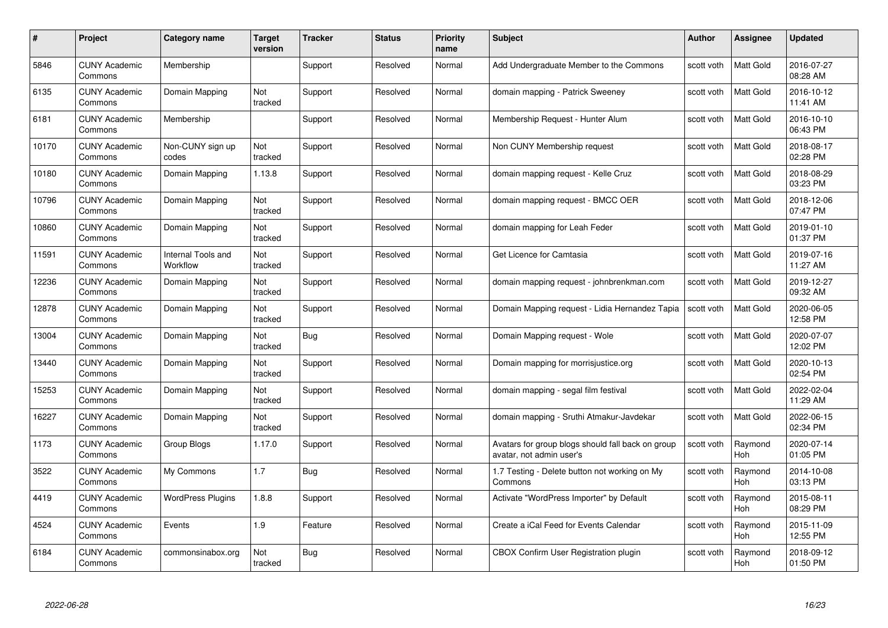| #     | Project                         | Category name                  | Target<br>version | <b>Tracker</b> | <b>Status</b> | <b>Priority</b><br>name | <b>Subject</b>                                                                | <b>Author</b> | <b>Assignee</b>       | <b>Updated</b>         |
|-------|---------------------------------|--------------------------------|-------------------|----------------|---------------|-------------------------|-------------------------------------------------------------------------------|---------------|-----------------------|------------------------|
| 5846  | <b>CUNY Academic</b><br>Commons | Membership                     |                   | Support        | Resolved      | Normal                  | Add Undergraduate Member to the Commons                                       | scott voth    | <b>Matt Gold</b>      | 2016-07-27<br>08:28 AM |
| 6135  | <b>CUNY Academic</b><br>Commons | Domain Mapping                 | Not<br>tracked    | Support        | Resolved      | Normal                  | domain mapping - Patrick Sweeney                                              | scott voth    | Matt Gold             | 2016-10-12<br>11:41 AM |
| 6181  | <b>CUNY Academic</b><br>Commons | Membership                     |                   | Support        | Resolved      | Normal                  | Membership Request - Hunter Alum                                              | scott voth    | Matt Gold             | 2016-10-10<br>06:43 PM |
| 10170 | <b>CUNY Academic</b><br>Commons | Non-CUNY sign up<br>codes      | Not<br>tracked    | Support        | Resolved      | Normal                  | Non CUNY Membership request                                                   | scott voth    | Matt Gold             | 2018-08-17<br>02:28 PM |
| 10180 | <b>CUNY Academic</b><br>Commons | Domain Mapping                 | 1.13.8            | Support        | Resolved      | Normal                  | domain mapping request - Kelle Cruz                                           | scott voth    | <b>Matt Gold</b>      | 2018-08-29<br>03:23 PM |
| 10796 | <b>CUNY Academic</b><br>Commons | Domain Mapping                 | Not<br>tracked    | Support        | Resolved      | Normal                  | domain mapping request - BMCC OER                                             | scott voth    | <b>Matt Gold</b>      | 2018-12-06<br>07:47 PM |
| 10860 | <b>CUNY Academic</b><br>Commons | Domain Mapping                 | Not<br>tracked    | Support        | Resolved      | Normal                  | domain mapping for Leah Feder                                                 | scott voth    | Matt Gold             | 2019-01-10<br>01:37 PM |
| 11591 | <b>CUNY Academic</b><br>Commons | Internal Tools and<br>Workflow | Not<br>tracked    | Support        | Resolved      | Normal                  | Get Licence for Camtasia                                                      | scott voth    | Matt Gold             | 2019-07-16<br>11:27 AM |
| 12236 | <b>CUNY Academic</b><br>Commons | Domain Mapping                 | Not<br>tracked    | Support        | Resolved      | Normal                  | domain mapping request - johnbrenkman.com                                     | scott voth    | Matt Gold             | 2019-12-27<br>09:32 AM |
| 12878 | <b>CUNY Academic</b><br>Commons | Domain Mapping                 | Not<br>tracked    | Support        | Resolved      | Normal                  | Domain Mapping request - Lidia Hernandez Tapia                                | scott voth    | Matt Gold             | 2020-06-05<br>12:58 PM |
| 13004 | <b>CUNY Academic</b><br>Commons | Domain Mapping                 | Not<br>tracked    | Bug            | Resolved      | Normal                  | Domain Mapping request - Wole                                                 | scott voth    | Matt Gold             | 2020-07-07<br>12:02 PM |
| 13440 | <b>CUNY Academic</b><br>Commons | Domain Mapping                 | Not<br>tracked    | Support        | Resolved      | Normal                  | Domain mapping for morrisjustice.org                                          | scott voth    | Matt Gold             | 2020-10-13<br>02:54 PM |
| 15253 | <b>CUNY Academic</b><br>Commons | Domain Mapping                 | Not<br>tracked    | Support        | Resolved      | Normal                  | domain mapping - segal film festival                                          | scott voth    | <b>Matt Gold</b>      | 2022-02-04<br>11:29 AM |
| 16227 | <b>CUNY Academic</b><br>Commons | Domain Mapping                 | Not<br>tracked    | Support        | Resolved      | Normal                  | domain mapping - Sruthi Atmakur-Javdekar                                      | scott voth    | Matt Gold             | 2022-06-15<br>02:34 PM |
| 1173  | <b>CUNY Academic</b><br>Commons | Group Blogs                    | 1.17.0            | Support        | Resolved      | Normal                  | Avatars for group blogs should fall back on group<br>avatar, not admin user's | scott voth    | Raymond<br>Hoh        | 2020-07-14<br>01:05 PM |
| 3522  | <b>CUNY Academic</b><br>Commons | My Commons                     | 1.7               | <b>Bug</b>     | Resolved      | Normal                  | 1.7 Testing - Delete button not working on My<br>Commons                      | scott voth    | Raymond<br><b>Hoh</b> | 2014-10-08<br>03:13 PM |
| 4419  | <b>CUNY Academic</b><br>Commons | <b>WordPress Plugins</b>       | 1.8.8             | Support        | Resolved      | Normal                  | Activate "WordPress Importer" by Default                                      | scott voth    | Raymond<br><b>Hoh</b> | 2015-08-11<br>08:29 PM |
| 4524  | <b>CUNY Academic</b><br>Commons | Events                         | 1.9               | Feature        | Resolved      | Normal                  | Create a iCal Feed for Events Calendar                                        | scott voth    | Raymond<br>Hoh        | 2015-11-09<br>12:55 PM |
| 6184  | CUNY Academic<br>Commons        | commonsinabox.org              | Not<br>tracked    | <b>Bug</b>     | Resolved      | Normal                  | CBOX Confirm User Registration plugin                                         | scott voth    | Raymond<br>Hoh        | 2018-09-12<br>01:50 PM |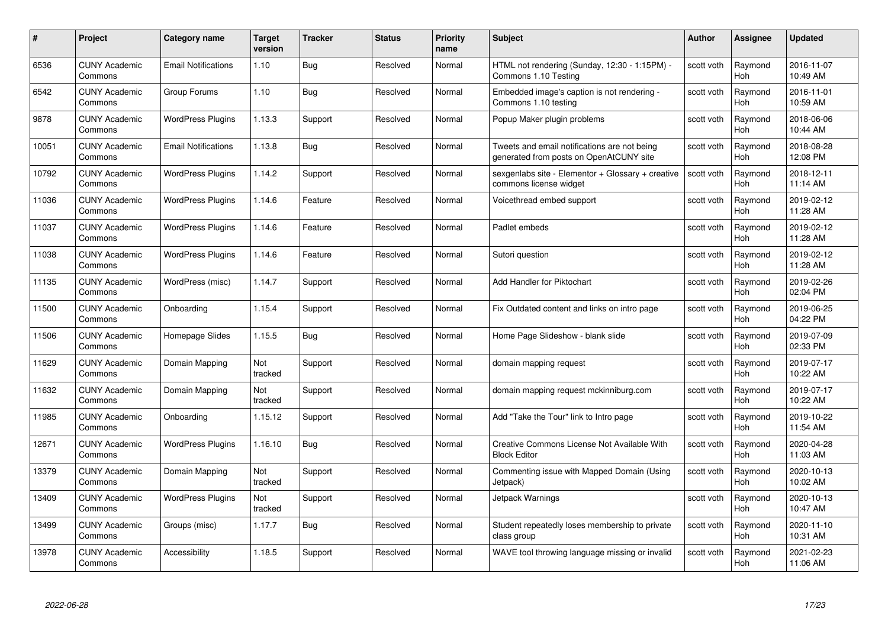| #     | Project                         | <b>Category name</b>       | Target<br>version | <b>Tracker</b> | <b>Status</b> | <b>Priority</b><br>name | <b>Subject</b>                                                                          | <b>Author</b> | Assignee              | <b>Updated</b>         |
|-------|---------------------------------|----------------------------|-------------------|----------------|---------------|-------------------------|-----------------------------------------------------------------------------------------|---------------|-----------------------|------------------------|
| 6536  | <b>CUNY Academic</b><br>Commons | <b>Email Notifications</b> | 1.10              | Bug            | Resolved      | Normal                  | HTML not rendering (Sunday, 12:30 - 1:15PM) -<br>Commons 1.10 Testing                   | scott voth    | Raymond<br>Hoh        | 2016-11-07<br>10:49 AM |
| 6542  | <b>CUNY Academic</b><br>Commons | Group Forums               | 1.10              | Bug            | Resolved      | Normal                  | Embedded image's caption is not rendering -<br>Commons 1.10 testing                     | scott voth    | Raymond<br><b>Hoh</b> | 2016-11-01<br>10:59 AM |
| 9878  | <b>CUNY Academic</b><br>Commons | <b>WordPress Plugins</b>   | 1.13.3            | Support        | Resolved      | Normal                  | Popup Maker plugin problems                                                             | scott voth    | Raymond<br>Hoh        | 2018-06-06<br>10:44 AM |
| 10051 | <b>CUNY Academic</b><br>Commons | <b>Email Notifications</b> | 1.13.8            | <b>Bug</b>     | Resolved      | Normal                  | Tweets and email notifications are not being<br>generated from posts on OpenAtCUNY site | scott voth    | Raymond<br>Hoh        | 2018-08-28<br>12:08 PM |
| 10792 | <b>CUNY Academic</b><br>Commons | <b>WordPress Plugins</b>   | 1.14.2            | Support        | Resolved      | Normal                  | sexgenlabs site - Elementor + Glossary + creative<br>commons license widget             | scott voth    | Raymond<br>Hoh        | 2018-12-11<br>11:14 AM |
| 11036 | <b>CUNY Academic</b><br>Commons | <b>WordPress Plugins</b>   | 1.14.6            | Feature        | Resolved      | Normal                  | Voicethread embed support                                                               | scott voth    | Raymond<br>Hoh        | 2019-02-12<br>11:28 AM |
| 11037 | <b>CUNY Academic</b><br>Commons | <b>WordPress Plugins</b>   | 1.14.6            | Feature        | Resolved      | Normal                  | Padlet embeds                                                                           | scott voth    | Raymond<br>Hoh        | 2019-02-12<br>11:28 AM |
| 11038 | <b>CUNY Academic</b><br>Commons | <b>WordPress Plugins</b>   | 1.14.6            | Feature        | Resolved      | Normal                  | Sutori question                                                                         | scott voth    | Raymond<br><b>Hoh</b> | 2019-02-12<br>11:28 AM |
| 11135 | <b>CUNY Academic</b><br>Commons | WordPress (misc)           | 1.14.7            | Support        | Resolved      | Normal                  | Add Handler for Piktochart                                                              | scott voth    | Raymond<br>Hoh        | 2019-02-26<br>02:04 PM |
| 11500 | <b>CUNY Academic</b><br>Commons | Onboarding                 | 1.15.4            | Support        | Resolved      | Normal                  | Fix Outdated content and links on intro page                                            | scott voth    | Raymond<br><b>Hoh</b> | 2019-06-25<br>04:22 PM |
| 11506 | CUNY Academic<br>Commons        | Homepage Slides            | 1.15.5            | <b>Bug</b>     | Resolved      | Normal                  | Home Page Slideshow - blank slide                                                       | scott voth    | Raymond<br>Hoh        | 2019-07-09<br>02:33 PM |
| 11629 | <b>CUNY Academic</b><br>Commons | Domain Mapping             | Not<br>tracked    | Support        | Resolved      | Normal                  | domain mapping request                                                                  | scott voth    | Raymond<br><b>Hoh</b> | 2019-07-17<br>10:22 AM |
| 11632 | <b>CUNY Academic</b><br>Commons | Domain Mapping             | Not<br>tracked    | Support        | Resolved      | Normal                  | domain mapping request mckinniburg.com                                                  | scott voth    | Raymond<br>Hoh        | 2019-07-17<br>10:22 AM |
| 11985 | <b>CUNY Academic</b><br>Commons | Onboarding                 | 1.15.12           | Support        | Resolved      | Normal                  | Add "Take the Tour" link to Intro page                                                  | scott voth    | Raymond<br><b>Hoh</b> | 2019-10-22<br>11:54 AM |
| 12671 | <b>CUNY Academic</b><br>Commons | <b>WordPress Plugins</b>   | 1.16.10           | <b>Bug</b>     | Resolved      | Normal                  | Creative Commons License Not Available With<br><b>Block Editor</b>                      | scott voth    | Raymond<br>Hoh        | 2020-04-28<br>11:03 AM |
| 13379 | <b>CUNY Academic</b><br>Commons | Domain Mapping             | Not<br>tracked    | Support        | Resolved      | Normal                  | Commenting issue with Mapped Domain (Using<br>Jetpack)                                  | scott voth    | Raymond<br>Hoh        | 2020-10-13<br>10:02 AM |
| 13409 | <b>CUNY Academic</b><br>Commons | <b>WordPress Plugins</b>   | Not<br>tracked    | Support        | Resolved      | Normal                  | Jetpack Warnings                                                                        | scott voth    | Raymond<br><b>Hoh</b> | 2020-10-13<br>10:47 AM |
| 13499 | <b>CUNY Academic</b><br>Commons | Groups (misc)              | 1.17.7            | <b>Bug</b>     | Resolved      | Normal                  | Student repeatedly loses membership to private<br>class group                           | scott voth    | Raymond<br>Hoh        | 2020-11-10<br>10:31 AM |
| 13978 | <b>CUNY Academic</b><br>Commons | Accessibility              | 1.18.5            | Support        | Resolved      | Normal                  | WAVE tool throwing language missing or invalid                                          | scott voth    | Raymond<br>Hoh        | 2021-02-23<br>11:06 AM |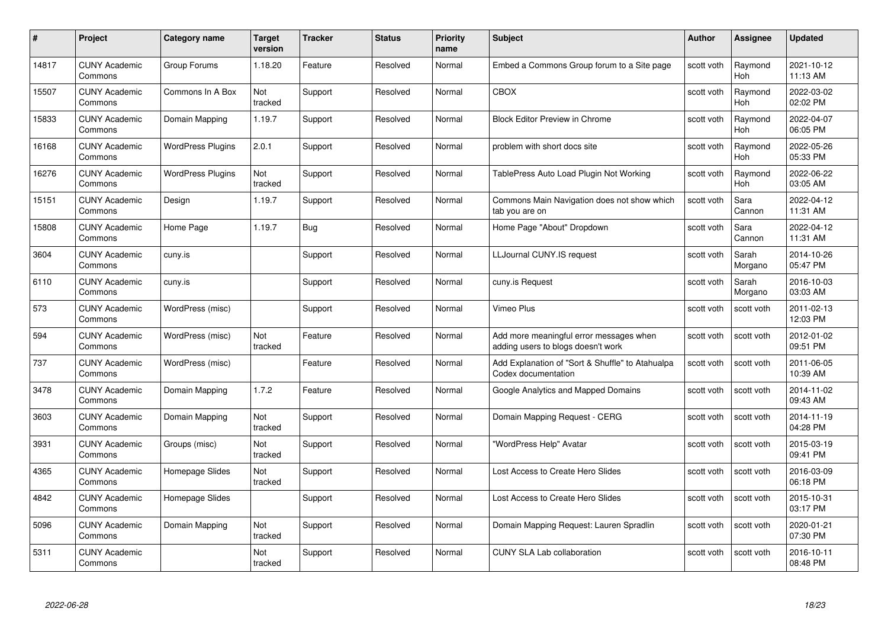| #     | Project                         | Category name            | Target<br>version | <b>Tracker</b> | <b>Status</b> | <b>Priority</b><br>name | <b>Subject</b>                                                                | Author     | Assignee              | <b>Updated</b>         |
|-------|---------------------------------|--------------------------|-------------------|----------------|---------------|-------------------------|-------------------------------------------------------------------------------|------------|-----------------------|------------------------|
| 14817 | <b>CUNY Academic</b><br>Commons | Group Forums             | 1.18.20           | Feature        | Resolved      | Normal                  | Embed a Commons Group forum to a Site page                                    | scott voth | Raymond<br><b>Hoh</b> | 2021-10-12<br>11:13 AM |
| 15507 | <b>CUNY Academic</b><br>Commons | Commons In A Box         | Not<br>tracked    | Support        | Resolved      | Normal                  | CBOX                                                                          | scott voth | Raymond<br><b>Hoh</b> | 2022-03-02<br>02:02 PM |
| 15833 | <b>CUNY Academic</b><br>Commons | Domain Mapping           | 1.19.7            | Support        | Resolved      | Normal                  | <b>Block Editor Preview in Chrome</b>                                         | scott voth | Raymond<br>Hoh        | 2022-04-07<br>06:05 PM |
| 16168 | <b>CUNY Academic</b><br>Commons | <b>WordPress Plugins</b> | 2.0.1             | Support        | Resolved      | Normal                  | problem with short docs site                                                  | scott voth | Raymond<br>Hoh        | 2022-05-26<br>05:33 PM |
| 16276 | <b>CUNY Academic</b><br>Commons | <b>WordPress Plugins</b> | Not<br>tracked    | Support        | Resolved      | Normal                  | TablePress Auto Load Plugin Not Working                                       | scott voth | Raymond<br>Hoh        | 2022-06-22<br>03:05 AM |
| 15151 | <b>CUNY Academic</b><br>Commons | Design                   | 1.19.7            | Support        | Resolved      | Normal                  | Commons Main Navigation does not show which<br>tab you are on                 | scott voth | Sara<br>Cannon        | 2022-04-12<br>11:31 AM |
| 15808 | <b>CUNY Academic</b><br>Commons | Home Page                | 1.19.7            | <b>Bug</b>     | Resolved      | Normal                  | Home Page "About" Dropdown                                                    | scott voth | Sara<br>Cannon        | 2022-04-12<br>11:31 AM |
| 3604  | <b>CUNY Academic</b><br>Commons | cuny.is                  |                   | Support        | Resolved      | Normal                  | LLJournal CUNY.IS request                                                     | scott voth | Sarah<br>Morgano      | 2014-10-26<br>05:47 PM |
| 6110  | <b>CUNY Academic</b><br>Commons | cuny.is                  |                   | Support        | Resolved      | Normal                  | cuny.is Request                                                               | scott voth | Sarah<br>Morgano      | 2016-10-03<br>03:03 AM |
| 573   | <b>CUNY Academic</b><br>Commons | WordPress (misc)         |                   | Support        | Resolved      | Normal                  | Vimeo Plus                                                                    | scott voth | scott voth            | 2011-02-13<br>12:03 PM |
| 594   | <b>CUNY Academic</b><br>Commons | WordPress (misc)         | Not<br>tracked    | Feature        | Resolved      | Normal                  | Add more meaningful error messages when<br>adding users to blogs doesn't work | scott voth | scott voth            | 2012-01-02<br>09:51 PM |
| 737   | <b>CUNY Academic</b><br>Commons | WordPress (misc)         |                   | Feature        | Resolved      | Normal                  | Add Explanation of "Sort & Shuffle" to Atahualpa<br>Codex documentation       | scott voth | scott voth            | 2011-06-05<br>10:39 AM |
| 3478  | <b>CUNY Academic</b><br>Commons | Domain Mapping           | 1.7.2             | Feature        | Resolved      | Normal                  | Google Analytics and Mapped Domains                                           | scott voth | scott voth            | 2014-11-02<br>09:43 AM |
| 3603  | <b>CUNY Academic</b><br>Commons | Domain Mapping           | Not<br>tracked    | Support        | Resolved      | Normal                  | Domain Mapping Request - CERG                                                 | scott voth | scott voth            | 2014-11-19<br>04:28 PM |
| 3931  | <b>CUNY Academic</b><br>Commons | Groups (misc)            | Not<br>tracked    | Support        | Resolved      | Normal                  | "WordPress Help" Avatar                                                       | scott voth | scott voth            | 2015-03-19<br>09:41 PM |
| 4365  | <b>CUNY Academic</b><br>Commons | Homepage Slides          | Not<br>tracked    | Support        | Resolved      | Normal                  | Lost Access to Create Hero Slides                                             | scott voth | scott voth            | 2016-03-09<br>06:18 PM |
| 4842  | <b>CUNY Academic</b><br>Commons | Homepage Slides          |                   | Support        | Resolved      | Normal                  | Lost Access to Create Hero Slides                                             | scott voth | scott voth            | 2015-10-31<br>03:17 PM |
| 5096  | <b>CUNY Academic</b><br>Commons | Domain Mapping           | Not<br>tracked    | Support        | Resolved      | Normal                  | Domain Mapping Request: Lauren Spradlin                                       | scott voth | scott voth            | 2020-01-21<br>07:30 PM |
| 5311  | <b>CUNY Academic</b><br>Commons |                          | Not<br>tracked    | Support        | Resolved      | Normal                  | <b>CUNY SLA Lab collaboration</b>                                             | scott voth | scott voth            | 2016-10-11<br>08:48 PM |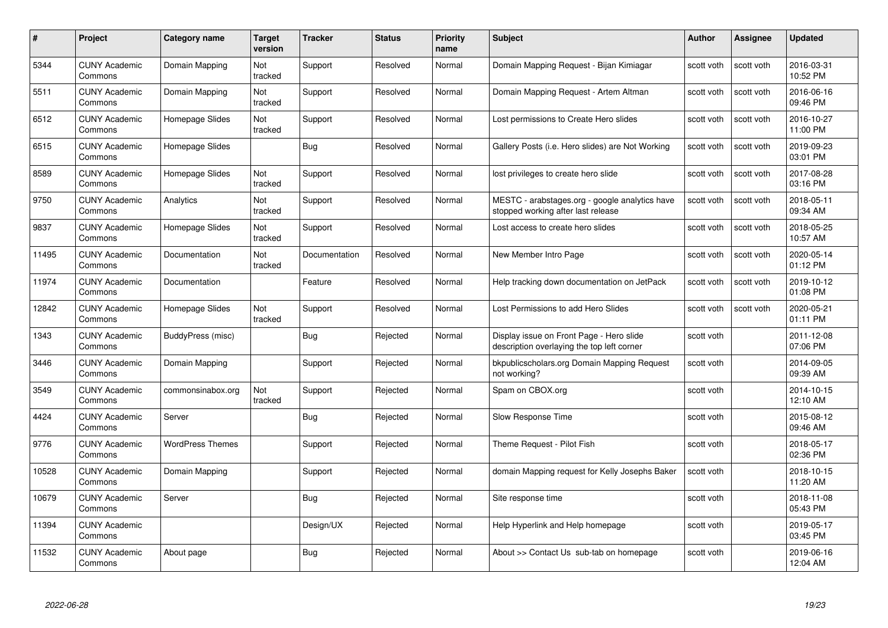| #     | Project                         | <b>Category name</b>    | Target<br>version     | <b>Tracker</b> | <b>Status</b> | <b>Priority</b><br>name | <b>Subject</b>                                                                         | <b>Author</b> | Assignee   | <b>Updated</b>         |
|-------|---------------------------------|-------------------------|-----------------------|----------------|---------------|-------------------------|----------------------------------------------------------------------------------------|---------------|------------|------------------------|
| 5344  | <b>CUNY Academic</b><br>Commons | Domain Mapping          | Not<br>tracked        | Support        | Resolved      | Normal                  | Domain Mapping Request - Bijan Kimiagar                                                | scott voth    | scott voth | 2016-03-31<br>10:52 PM |
| 5511  | <b>CUNY Academic</b><br>Commons | Domain Mapping          | Not<br>tracked        | Support        | Resolved      | Normal                  | Domain Mapping Request - Artem Altman                                                  | scott voth    | scott voth | 2016-06-16<br>09:46 PM |
| 6512  | <b>CUNY Academic</b><br>Commons | Homepage Slides         | Not<br>tracked        | Support        | Resolved      | Normal                  | Lost permissions to Create Hero slides                                                 | scott voth    | scott voth | 2016-10-27<br>11:00 PM |
| 6515  | <b>CUNY Academic</b><br>Commons | Homepage Slides         |                       | Bug            | Resolved      | Normal                  | Gallery Posts (i.e. Hero slides) are Not Working                                       | scott voth    | scott voth | 2019-09-23<br>03:01 PM |
| 8589  | <b>CUNY Academic</b><br>Commons | Homepage Slides         | Not<br>tracked        | Support        | Resolved      | Normal                  | lost privileges to create hero slide                                                   | scott voth    | scott voth | 2017-08-28<br>03:16 PM |
| 9750  | <b>CUNY Academic</b><br>Commons | Analytics               | <b>Not</b><br>tracked | Support        | Resolved      | Normal                  | MESTC - arabstages.org - google analytics have<br>stopped working after last release   | scott voth    | scott voth | 2018-05-11<br>09:34 AM |
| 9837  | <b>CUNY Academic</b><br>Commons | Homepage Slides         | Not<br>tracked        | Support        | Resolved      | Normal                  | Lost access to create hero slides                                                      | scott voth    | scott voth | 2018-05-25<br>10:57 AM |
| 11495 | <b>CUNY Academic</b><br>Commons | Documentation           | Not<br>tracked        | Documentation  | Resolved      | Normal                  | New Member Intro Page                                                                  | scott voth    | scott voth | 2020-05-14<br>01:12 PM |
| 11974 | <b>CUNY Academic</b><br>Commons | Documentation           |                       | Feature        | Resolved      | Normal                  | Help tracking down documentation on JetPack                                            | scott voth    | scott voth | 2019-10-12<br>01:08 PM |
| 12842 | <b>CUNY Academic</b><br>Commons | Homepage Slides         | Not<br>tracked        | Support        | Resolved      | Normal                  | Lost Permissions to add Hero Slides                                                    | scott voth    | scott voth | 2020-05-21<br>01:11 PM |
| 1343  | CUNY Academic<br>Commons        | BuddyPress (misc)       |                       | Bug            | Rejected      | Normal                  | Display issue on Front Page - Hero slide<br>description overlaying the top left corner | scott voth    |            | 2011-12-08<br>07:06 PM |
| 3446  | <b>CUNY Academic</b><br>Commons | Domain Mapping          |                       | Support        | Rejected      | Normal                  | bkpublicscholars.org Domain Mapping Request<br>not working?                            | scott voth    |            | 2014-09-05<br>09:39 AM |
| 3549  | <b>CUNY Academic</b><br>Commons | commonsinabox.org       | Not<br>tracked        | Support        | Rejected      | Normal                  | Spam on CBOX.org                                                                       | scott voth    |            | 2014-10-15<br>12:10 AM |
| 4424  | <b>CUNY Academic</b><br>Commons | Server                  |                       | <b>Bug</b>     | Rejected      | Normal                  | Slow Response Time                                                                     | scott voth    |            | 2015-08-12<br>09:46 AM |
| 9776  | <b>CUNY Academic</b><br>Commons | <b>WordPress Themes</b> |                       | Support        | Rejected      | Normal                  | Theme Request - Pilot Fish                                                             | scott voth    |            | 2018-05-17<br>02:36 PM |
| 10528 | <b>CUNY Academic</b><br>Commons | Domain Mapping          |                       | Support        | Rejected      | Normal                  | domain Mapping request for Kelly Josephs Baker                                         | scott voth    |            | 2018-10-15<br>11:20 AM |
| 10679 | <b>CUNY Academic</b><br>Commons | Server                  |                       | <b>Bug</b>     | Rejected      | Normal                  | Site response time                                                                     | scott voth    |            | 2018-11-08<br>05:43 PM |
| 11394 | <b>CUNY Academic</b><br>Commons |                         |                       | Design/UX      | Rejected      | Normal                  | Help Hyperlink and Help homepage                                                       | scott voth    |            | 2019-05-17<br>03:45 PM |
| 11532 | <b>CUNY Academic</b><br>Commons | About page              |                       | <b>Bug</b>     | Rejected      | Normal                  | About >> Contact Us sub-tab on homepage                                                | scott voth    |            | 2019-06-16<br>12:04 AM |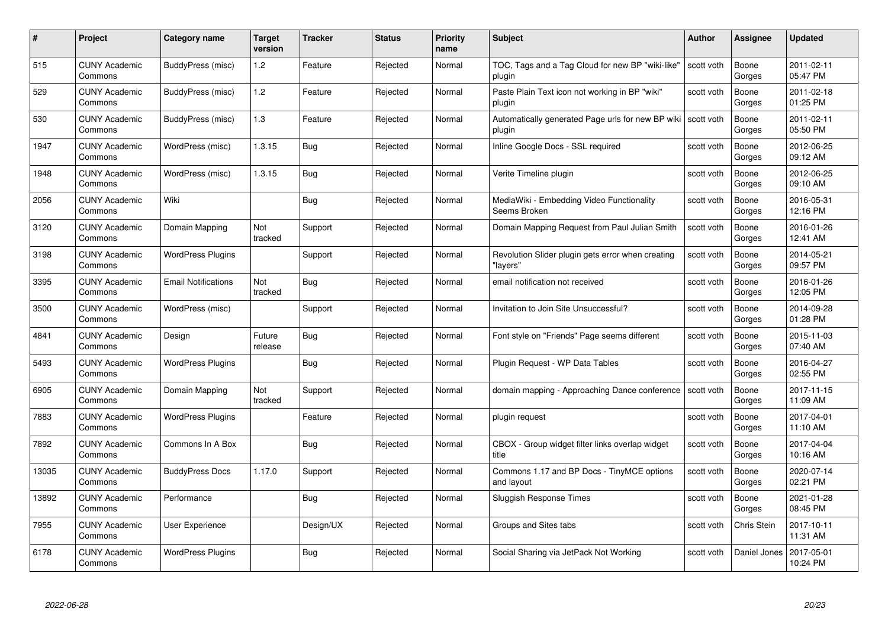| #     | Project                         | <b>Category name</b>       | Target<br>version | <b>Tracker</b> | <b>Status</b> | <b>Priority</b><br>name | <b>Subject</b>                                                | <b>Author</b> | <b>Assignee</b> | <b>Updated</b>         |
|-------|---------------------------------|----------------------------|-------------------|----------------|---------------|-------------------------|---------------------------------------------------------------|---------------|-----------------|------------------------|
| 515   | <b>CUNY Academic</b><br>Commons | BuddyPress (misc)          | 1.2               | Feature        | Rejected      | Normal                  | TOC, Tags and a Tag Cloud for new BP "wiki-like"<br>plugin    | scott voth    | Boone<br>Gorges | 2011-02-11<br>05:47 PM |
| 529   | <b>CUNY Academic</b><br>Commons | BuddyPress (misc)          | 1.2               | Feature        | Rejected      | Normal                  | Paste Plain Text icon not working in BP "wiki"<br>plugin      | scott voth    | Boone<br>Gorges | 2011-02-18<br>01:25 PM |
| 530   | <b>CUNY Academic</b><br>Commons | BuddyPress (misc)          | $1.3$             | Feature        | Rejected      | Normal                  | Automatically generated Page urls for new BP wiki<br>plugin   | scott voth    | Boone<br>Gorges | 2011-02-11<br>05:50 PM |
| 1947  | <b>CUNY Academic</b><br>Commons | WordPress (misc)           | 1.3.15            | Bug            | Rejected      | Normal                  | Inline Google Docs - SSL required                             | scott voth    | Boone<br>Gorges | 2012-06-25<br>09:12 AM |
| 1948  | CUNY Academic<br>Commons        | WordPress (misc)           | 1.3.15            | Bug            | Rejected      | Normal                  | Verite Timeline plugin                                        | scott voth    | Boone<br>Gorges | 2012-06-25<br>09:10 AM |
| 2056  | <b>CUNY Academic</b><br>Commons | Wiki                       |                   | Bug            | Rejected      | Normal                  | MediaWiki - Embedding Video Functionality<br>Seems Broken     | scott voth    | Boone<br>Gorges | 2016-05-31<br>12:16 PM |
| 3120  | <b>CUNY Academic</b><br>Commons | Domain Mapping             | Not<br>tracked    | Support        | Rejected      | Normal                  | Domain Mapping Request from Paul Julian Smith                 | scott voth    | Boone<br>Gorges | 2016-01-26<br>12:41 AM |
| 3198  | <b>CUNY Academic</b><br>Commons | <b>WordPress Plugins</b>   |                   | Support        | Rejected      | Normal                  | Revolution Slider plugin gets error when creating<br>"lavers" | scott voth    | Boone<br>Gorges | 2014-05-21<br>09:57 PM |
| 3395  | <b>CUNY Academic</b><br>Commons | <b>Email Notifications</b> | Not<br>tracked    | Bug            | Rejected      | Normal                  | email notification not received                               | scott voth    | Boone<br>Gorges | 2016-01-26<br>12:05 PM |
| 3500  | <b>CUNY Academic</b><br>Commons | WordPress (misc)           |                   | Support        | Rejected      | Normal                  | Invitation to Join Site Unsuccessful?                         | scott voth    | Boone<br>Gorges | 2014-09-28<br>01:28 PM |
| 4841  | CUNY Academic<br>Commons        | Design                     | Future<br>release | <b>Bug</b>     | Rejected      | Normal                  | Font style on "Friends" Page seems different                  | scott voth    | Boone<br>Gorges | 2015-11-03<br>07:40 AM |
| 5493  | <b>CUNY Academic</b><br>Commons | <b>WordPress Plugins</b>   |                   | <b>Bug</b>     | Rejected      | Normal                  | Plugin Request - WP Data Tables                               | scott voth    | Boone<br>Gorges | 2016-04-27<br>02:55 PM |
| 6905  | <b>CUNY Academic</b><br>Commons | Domain Mapping             | Not<br>tracked    | Support        | Rejected      | Normal                  | domain mapping - Approaching Dance conference                 | scott voth    | Boone<br>Gorges | 2017-11-15<br>11:09 AM |
| 7883  | <b>CUNY Academic</b><br>Commons | <b>WordPress Plugins</b>   |                   | Feature        | Rejected      | Normal                  | plugin request                                                | scott voth    | Boone<br>Gorges | 2017-04-01<br>11:10 AM |
| 7892  | <b>CUNY Academic</b><br>Commons | Commons In A Box           |                   | Bug            | Rejected      | Normal                  | CBOX - Group widget filter links overlap widget<br>title      | scott voth    | Boone<br>Gorges | 2017-04-04<br>10:16 AM |
| 13035 | <b>CUNY Academic</b><br>Commons | <b>BuddyPress Docs</b>     | 1.17.0            | Support        | Rejected      | Normal                  | Commons 1.17 and BP Docs - TinyMCE options<br>and layout      | scott voth    | Boone<br>Gorges | 2020-07-14<br>02:21 PM |
| 13892 | <b>CUNY Academic</b><br>Commons | Performance                |                   | <b>Bug</b>     | Rejected      | Normal                  | <b>Sluggish Response Times</b>                                | scott voth    | Boone<br>Gorges | 2021-01-28<br>08:45 PM |
| 7955  | <b>CUNY Academic</b><br>Commons | User Experience            |                   | Design/UX      | Rejected      | Normal                  | Groups and Sites tabs                                         | scott voth    | Chris Stein     | 2017-10-11<br>11:31 AM |
| 6178  | CUNY Academic<br>Commons        | <b>WordPress Plugins</b>   |                   | Bug            | Rejected      | Normal                  | Social Sharing via JetPack Not Working                        | scott voth    | Daniel Jones    | 2017-05-01<br>10:24 PM |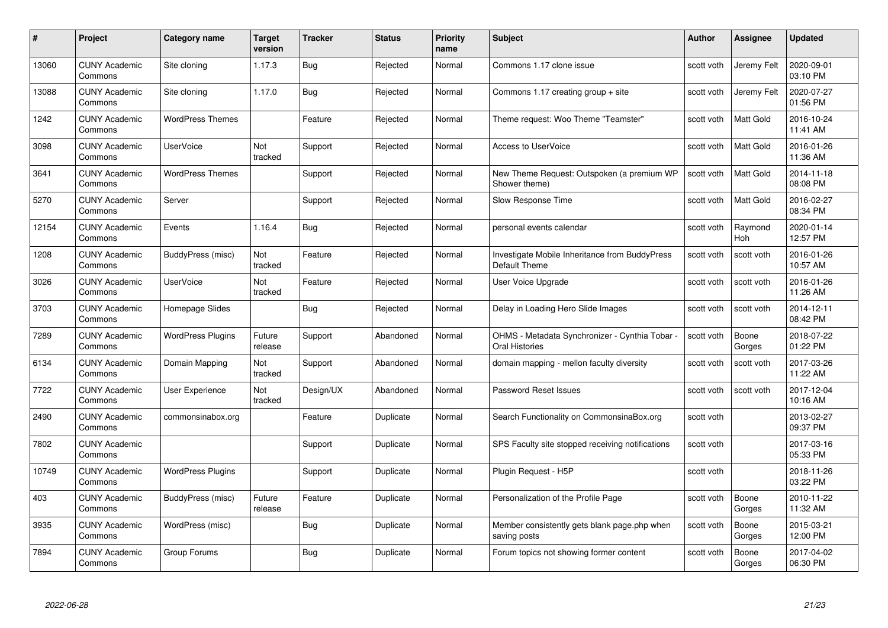| #     | Project                         | <b>Category name</b>     | Target<br>version | <b>Tracker</b> | <b>Status</b> | <b>Priority</b><br>name | <b>Subject</b>                                                   | <b>Author</b> | Assignee        | <b>Updated</b>         |
|-------|---------------------------------|--------------------------|-------------------|----------------|---------------|-------------------------|------------------------------------------------------------------|---------------|-----------------|------------------------|
| 13060 | <b>CUNY Academic</b><br>Commons | Site cloning             | 1.17.3            | Bug            | Rejected      | Normal                  | Commons 1.17 clone issue                                         | scott voth    | Jeremy Felt     | 2020-09-01<br>03:10 PM |
| 13088 | <b>CUNY Academic</b><br>Commons | Site cloning             | 1.17.0            | Bug            | Rejected      | Normal                  | Commons 1.17 creating group $+$ site                             | scott voth    | Jeremy Felt     | 2020-07-27<br>01:56 PM |
| 1242  | <b>CUNY Academic</b><br>Commons | <b>WordPress Themes</b>  |                   | Feature        | Rejected      | Normal                  | Theme request: Woo Theme "Teamster"                              | scott voth    | Matt Gold       | 2016-10-24<br>11:41 AM |
| 3098  | <b>CUNY Academic</b><br>Commons | <b>UserVoice</b>         | Not<br>tracked    | Support        | Rejected      | Normal                  | <b>Access to UserVoice</b>                                       | scott voth    | Matt Gold       | 2016-01-26<br>11:36 AM |
| 3641  | <b>CUNY Academic</b><br>Commons | <b>WordPress Themes</b>  |                   | Support        | Rejected      | Normal                  | New Theme Request: Outspoken (a premium WP<br>Shower theme)      | scott voth    | Matt Gold       | 2014-11-18<br>08:08 PM |
| 5270  | <b>CUNY Academic</b><br>Commons | Server                   |                   | Support        | Rejected      | Normal                  | Slow Response Time                                               | scott voth    | Matt Gold       | 2016-02-27<br>08:34 PM |
| 12154 | <b>CUNY Academic</b><br>Commons | Events                   | 1.16.4            | Bug            | Rejected      | Normal                  | personal events calendar                                         | scott voth    | Raymond<br>Hoh  | 2020-01-14<br>12:57 PM |
| 1208  | <b>CUNY Academic</b><br>Commons | BuddyPress (misc)        | Not<br>tracked    | Feature        | Rejected      | Normal                  | Investigate Mobile Inheritance from BuddyPress<br>Default Theme  | scott voth    | scott voth      | 2016-01-26<br>10:57 AM |
| 3026  | <b>CUNY Academic</b><br>Commons | <b>UserVoice</b>         | Not<br>tracked    | Feature        | Rejected      | Normal                  | User Voice Upgrade                                               | scott voth    | scott voth      | 2016-01-26<br>11:26 AM |
| 3703  | <b>CUNY Academic</b><br>Commons | Homepage Slides          |                   | Bug            | Rejected      | Normal                  | Delay in Loading Hero Slide Images                               | scott voth    | scott voth      | 2014-12-11<br>08:42 PM |
| 7289  | <b>CUNY Academic</b><br>Commons | <b>WordPress Plugins</b> | Future<br>release | Support        | Abandoned     | Normal                  | OHMS - Metadata Synchronizer - Cynthia Tobar -<br>Oral Histories | scott voth    | Boone<br>Gorges | 2018-07-22<br>01:22 PM |
| 6134  | <b>CUNY Academic</b><br>Commons | Domain Mapping           | Not<br>tracked    | Support        | Abandoned     | Normal                  | domain mapping - mellon faculty diversity                        | scott voth    | scott voth      | 2017-03-26<br>11:22 AM |
| 7722  | <b>CUNY Academic</b><br>Commons | User Experience          | Not<br>tracked    | Design/UX      | Abandoned     | Normal                  | Password Reset Issues                                            | scott voth    | scott voth      | 2017-12-04<br>10:16 AM |
| 2490  | <b>CUNY Academic</b><br>Commons | commonsinabox.org        |                   | Feature        | Duplicate     | Normal                  | Search Functionality on CommonsinaBox.org                        | scott voth    |                 | 2013-02-27<br>09:37 PM |
| 7802  | <b>CUNY Academic</b><br>Commons |                          |                   | Support        | Duplicate     | Normal                  | SPS Faculty site stopped receiving notifications                 | scott voth    |                 | 2017-03-16<br>05:33 PM |
| 10749 | <b>CUNY Academic</b><br>Commons | <b>WordPress Plugins</b> |                   | Support        | Duplicate     | Normal                  | Plugin Request - H5P                                             | scott voth    |                 | 2018-11-26<br>03:22 PM |
| 403   | <b>CUNY Academic</b><br>Commons | BuddyPress (misc)        | Future<br>release | Feature        | Duplicate     | Normal                  | Personalization of the Profile Page                              | scott voth    | Boone<br>Gorges | 2010-11-22<br>11:32 AM |
| 3935  | <b>CUNY Academic</b><br>Commons | WordPress (misc)         |                   | <b>Bug</b>     | Duplicate     | Normal                  | Member consistently gets blank page.php when<br>saving posts     | scott voth    | Boone<br>Gorges | 2015-03-21<br>12:00 PM |
| 7894  | CUNY Academic<br>Commons        | Group Forums             |                   | Bug            | Duplicate     | Normal                  | Forum topics not showing former content                          | scott voth    | Boone<br>Gorges | 2017-04-02<br>06:30 PM |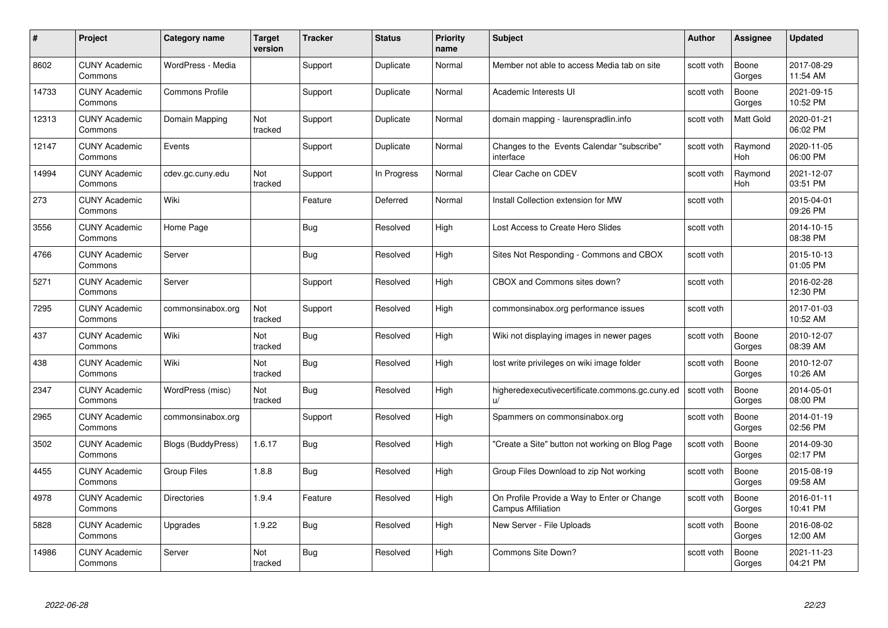| #     | Project                         | <b>Category name</b>   | <b>Target</b><br>version | <b>Tracker</b> | <b>Status</b> | <b>Priority</b><br>name | <b>Subject</b>                                                           | <b>Author</b> | <b>Assignee</b> | <b>Updated</b>         |
|-------|---------------------------------|------------------------|--------------------------|----------------|---------------|-------------------------|--------------------------------------------------------------------------|---------------|-----------------|------------------------|
| 8602  | <b>CUNY Academic</b><br>Commons | WordPress - Media      |                          | Support        | Duplicate     | Normal                  | Member not able to access Media tab on site                              | scott voth    | Boone<br>Gorges | 2017-08-29<br>11:54 AM |
| 14733 | <b>CUNY Academic</b><br>Commons | <b>Commons Profile</b> |                          | Support        | Duplicate     | Normal                  | Academic Interests UI                                                    | scott voth    | Boone<br>Gorges | 2021-09-15<br>10:52 PM |
| 12313 | <b>CUNY Academic</b><br>Commons | Domain Mapping         | Not<br>tracked           | Support        | Duplicate     | Normal                  | domain mapping - laurenspradlin.info                                     | scott voth    | Matt Gold       | 2020-01-21<br>06:02 PM |
| 12147 | <b>CUNY Academic</b><br>Commons | Events                 |                          | Support        | Duplicate     | Normal                  | Changes to the Events Calendar "subscribe"<br>interface                  | scott voth    | Raymond<br>Hoh  | 2020-11-05<br>06:00 PM |
| 14994 | <b>CUNY Academic</b><br>Commons | cdev.gc.cuny.edu       | Not<br>tracked           | Support        | In Progress   | Normal                  | Clear Cache on CDEV                                                      | scott voth    | Raymond<br>Hoh  | 2021-12-07<br>03:51 PM |
| 273   | <b>CUNY Academic</b><br>Commons | Wiki                   |                          | Feature        | Deferred      | Normal                  | Install Collection extension for MW                                      | scott voth    |                 | 2015-04-01<br>09:26 PM |
| 3556  | <b>CUNY Academic</b><br>Commons | Home Page              |                          | Bug            | Resolved      | High                    | Lost Access to Create Hero Slides                                        | scott voth    |                 | 2014-10-15<br>08:38 PM |
| 4766  | <b>CUNY Academic</b><br>Commons | Server                 |                          | Bug            | Resolved      | High                    | Sites Not Responding - Commons and CBOX                                  | scott voth    |                 | 2015-10-13<br>01:05 PM |
| 5271  | <b>CUNY Academic</b><br>Commons | Server                 |                          | Support        | Resolved      | High                    | CBOX and Commons sites down?                                             | scott voth    |                 | 2016-02-28<br>12:30 PM |
| 7295  | <b>CUNY Academic</b><br>Commons | commonsinabox.org      | Not<br>tracked           | Support        | Resolved      | High                    | commonsinabox.org performance issues                                     | scott voth    |                 | 2017-01-03<br>10:52 AM |
| 437   | CUNY Academic<br>Commons        | Wiki                   | Not<br>tracked           | Bug            | Resolved      | High                    | Wiki not displaying images in newer pages                                | scott voth    | Boone<br>Gorges | 2010-12-07<br>08:39 AM |
| 438   | <b>CUNY Academic</b><br>Commons | Wiki                   | Not<br>tracked           | <b>Bug</b>     | Resolved      | High                    | lost write privileges on wiki image folder                               | scott voth    | Boone<br>Gorges | 2010-12-07<br>10:26 AM |
| 2347  | <b>CUNY Academic</b><br>Commons | WordPress (misc)       | Not<br>tracked           | <b>Bug</b>     | Resolved      | High                    | higheredexecutivecertificate.commons.gc.cuny.ed<br>u/                    | scott voth    | Boone<br>Gorges | 2014-05-01<br>08:00 PM |
| 2965  | <b>CUNY Academic</b><br>Commons | commonsinabox.org      |                          | Support        | Resolved      | High                    | Spammers on commonsinabox.org                                            | scott voth    | Boone<br>Gorges | 2014-01-19<br>02:56 PM |
| 3502  | <b>CUNY Academic</b><br>Commons | Blogs (BuddyPress)     | 1.6.17                   | Bug            | Resolved      | High                    | "Create a Site" button not working on Blog Page                          | scott voth    | Boone<br>Gorges | 2014-09-30<br>02:17 PM |
| 4455  | <b>CUNY Academic</b><br>Commons | <b>Group Files</b>     | 1.8.8                    | Bug            | Resolved      | High                    | Group Files Download to zip Not working                                  | scott voth    | Boone<br>Gorges | 2015-08-19<br>09:58 AM |
| 4978  | <b>CUNY Academic</b><br>Commons | <b>Directories</b>     | 1.9.4                    | Feature        | Resolved      | High                    | On Profile Provide a Way to Enter or Change<br><b>Campus Affiliation</b> | scott voth    | Boone<br>Gorges | 2016-01-11<br>10:41 PM |
| 5828  | <b>CUNY Academic</b><br>Commons | Upgrades               | 1.9.22                   | <b>Bug</b>     | Resolved      | High                    | New Server - File Uploads                                                | scott voth    | Boone<br>Gorges | 2016-08-02<br>12:00 AM |
| 14986 | CUNY Academic<br>Commons        | Server                 | Not<br>tracked           | Bug            | Resolved      | High                    | Commons Site Down?                                                       | scott voth    | Boone<br>Gorges | 2021-11-23<br>04:21 PM |